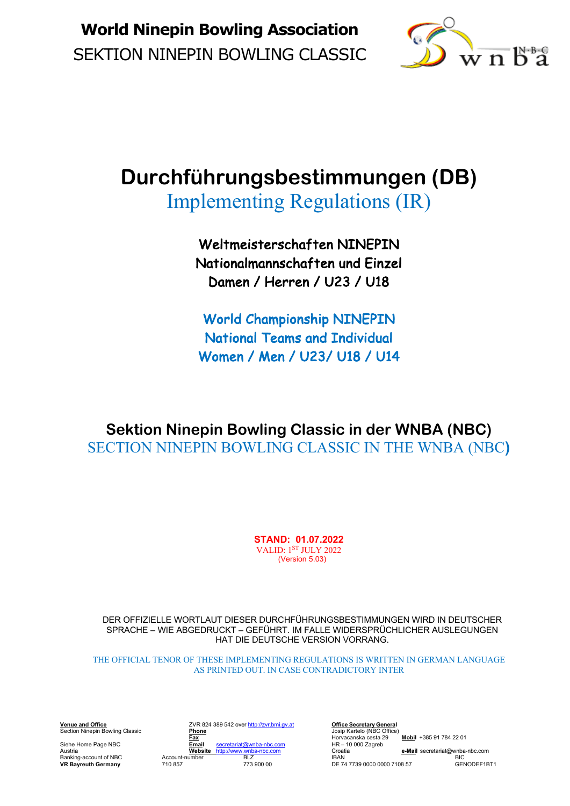

# **Durchführungsbestimmungen (DB)**

Implementing Regulations (IR)

Weltmeisterschaften NINEPIN Nationalmannschaften und Einzel Damen / Herren / U23 / U18

World Championship NINEPIN National Teams and Individual Women / Men / U23/ U18 / U14

**Sektion Ninepin Bowling Classic in der WNBA (NBC)** SECTION NINEPIN BOWLING CLASSIC IN THE WNBA (NBC**)**

> **STAND: 01.07.2022** VALID: 1ST JULY 2022 (Version 5.03)

DER OFFIZIELLE WORTLAUT DIESER DURCHFÜHRUNGSBESTIMMUNGEN WIRD IN DEUTSCHER SPRACHE – WIE ABGEDRUCKT – GEFÜHRT. IM FALLE WIDERSPRÜCHLICHER AUSLEGUNGEN HAT DIE DEUTSCHE VERSION VORRANG.

THE OFFICIAL TENOR OF THESE IMPLEMENTING REGULATIONS IS WRITTEN IN GERMAN LANGUAGE AS PRINTED OUT. IN CASE CONTRADICTORY INTER

**VR Bayreuth Germany** 710 857

**Venue and Office** ZVR 824 389 542 over http://zvr.bmi.gv.at **Office Secretary General Venue and Office**<br>Section Ninepin Bowling Classic **Phone** Josep Kartelo (NBC Office)<br>**Phone Phone Phone Phone Phone Phone Phone** Horvacanska cesta 29 Siehe Home Page NBC **Email** secretariat@wnba-nbc.com **HR – 10**<br>Austria Croatia **Email Secretariat** Mebsite http://www.wnba-nbc.com Croatia

**Fax** Horvacanska cesta 29 **Mobil** +385 91 784 22 01<br> **Fax** Horvacanska cesta 29 **Mobil** +385 91 784 22 01<br> **Fax** HR – 10 000 Zagreb Austria **Website** http://www.wnba-nbc.com Croatia **e-Mail** secretariat@wnba-nbc.com Account-number BLZ IBBAN<br>Banking-account of NBC Account-number BLZ IBAN BIC<br>The Failure of Account-number BLZ IBAN DE 74.7739.0000.0000.7108.57 CENODEF1RT1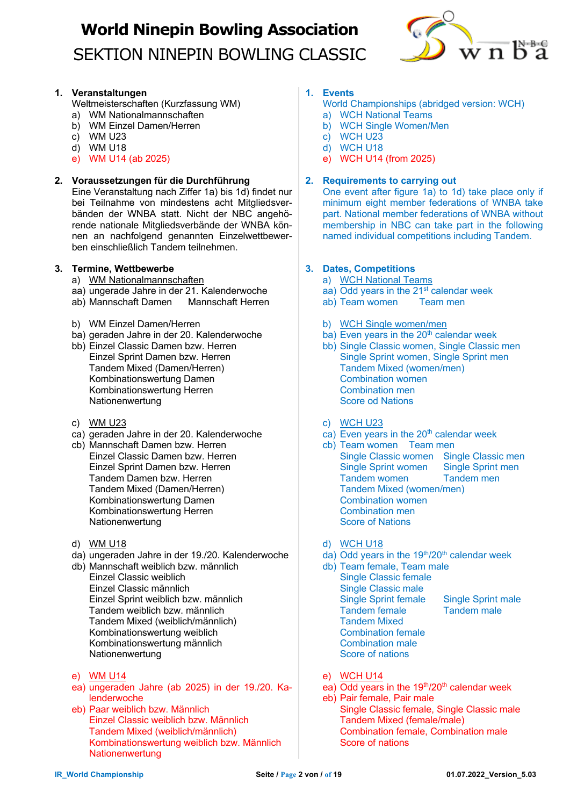

### **1. Veranstaltungen**

Weltmeisterschaften (Kurzfassung WM)

- a) WM Nationalmannschaften
- b) WM Einzel Damen/Herren
- c) WM U23
- d) WM U18
- e) WM U14 (ab 2025)

### **2. Voraussetzungen für die Durchführung**

Eine Veranstaltung nach Ziffer 1a) bis 1d) findet nur bei Teilnahme von mindestens acht Mitgliedsverbänden der WNBA statt. Nicht der NBC angehörende nationale Mitgliedsverbände der WNBA können an nachfolgend genannten Einzelwettbewerben einschließlich Tandem teilnehmen.

#### **3. Termine, Wettbewerbe**

- a) WM Nationalmannschaften
- aa) ungerade Jahre in der 21. Kalenderwoche
- ab) Mannschaft Damen Mannschaft Herren
- b) WM Einzel Damen/Herren
- ba) geraden Jahre in der 20. Kalenderwoche
- bb) Einzel Classic Damen bzw. Herren Einzel Sprint Damen bzw. Herren Tandem Mixed (Damen/Herren) Kombinationswertung Damen Kombinationswertung Herren Nationenwertung
- c) WM U23
- ca) geraden Jahre in der 20. Kalenderwoche
- cb) Mannschaft Damen bzw. Herren Einzel Classic Damen bzw. Herren Einzel Sprint Damen bzw. Herren Tandem Damen bzw. Herren Tandem Mixed (Damen/Herren) Kombinationswertung Damen Kombinationswertung Herren Nationenwertung
- d) WM U18
- da) ungeraden Jahre in der 19./20. Kalenderwoche
- db) Mannschaft weiblich bzw. männlich Einzel Classic weiblich Einzel Classic männlich Einzel Sprint weiblich bzw. männlich Tandem weiblich bzw. männlich Tandem Mixed (weiblich/männlich) Kombinationswertung weiblich Kombinationswertung männlich Nationenwertung
- e) WM U14
- ea) ungeraden Jahre (ab 2025) in der 19./20. Kalenderwoche
- eb) Paar weiblich bzw. Männlich Einzel Classic weiblich bzw. Männlich Tandem Mixed (weiblich/männlich) Kombinationswertung weiblich bzw. Männlich **Nationenwertung**

### **1. Events**

- World Championships (abridged version: WCH)
- a) WCH National Teams
- b) WCH Single Women/Men
- c) WCH U23
- d) WCH U18
- e) WCH U14 (from 2025)

### **2. Requirements to carrying out**

One event after figure 1a) to 1d) take place only if minimum eight member federations of WNBA take part. National member federations of WNBA without membership in NBC can take part in the following named individual competitions including Tandem.

### **3. Dates, Competitions**

- a) WCH National Teams
- aa) Odd years in the 21<sup>st</sup> calendar week
- ab) Team women Team men
- b) WCH Single women/men
- ba) Even years in the  $20<sup>th</sup>$  calendar week
- bb) Single Classic women, Single Classic men Single Sprint women, Single Sprint men Tandem Mixed (women/men) Combination women Combination men Score od Nations
- c) WCH U23
- $\overline{c}$  Even years in the 20<sup>th</sup> calendar week
- cb) Team women Team men Single Classic women Single Classic men Single Sprint women Single Sprint men Tandem women Tandem men Tandem Mixed (women/men) Combination women Combination men Score of Nations
- d) WCH U18
- $\overline{d}$  Odd years in the 19<sup>th</sup>/20<sup>th</sup> calendar week
- db) Team female, Team male Single Classic female Single Classic male Single Sprint female Single Sprint male Tandem female Tandem male Tandem Mixed Combination female Combination male Score of nations
- e) WCH U14
- ea) Odd years in the  $19<sup>th</sup>/20<sup>th</sup>$  calendar week
- eb) Pair female, Pair male Single Classic female, Single Classic male Tandem Mixed (female/male) Combination female, Combination male Score of nations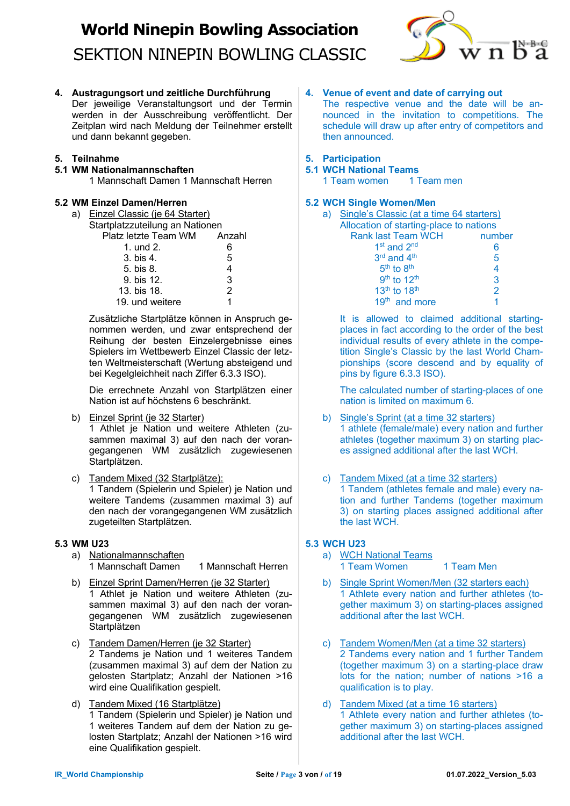

**4. Austragungsort und zeitliche Durchführung**

Der jeweilige Veranstaltungsort und der Termin werden in der Ausschreibung veröffentlicht. Der Zeitplan wird nach Meldung der Teilnehmer erstellt und dann bekannt gegeben.

### **5. Teilnahme**

### **5.1 WM Nationalmannschaften**

1 Mannschaft Damen 1 Mannschaft Herren

### **5.2 WM Einzel Damen/Herren**

a) Einzel Classic (je 64 Starter) Startplatzzuteilung an Nationen Platz letzte Team WM Anzahl

| 1. und 2.       |   |
|-----------------|---|
| 3. bis 4.       | 5 |
| 5. bis 8.       |   |
| 9. bis 12.      | 3 |
| 13. bis 18.     |   |
| 19. und weitere |   |
|                 |   |

Zusätzliche Startplätze können in Anspruch genommen werden, und zwar entsprechend der Reihung der besten Einzelergebnisse eines Spielers im Wettbewerb Einzel Classic der letzten Weltmeisterschaft (Wertung absteigend und bei Kegelgleichheit nach Ziffer 6.3.3 ISO).

Die errechnete Anzahl von Startplätzen einer Nation ist auf höchstens 6 beschränkt.

- b) Einzel Sprint (je 32 Starter) 1 Athlet je Nation und weitere Athleten (zusammen maximal 3) auf den nach der vorangegangenen WM zusätzlich zugewiesenen Startplätzen.
- c) Tandem Mixed (32 Startplätze): 1 Tandem (Spielerin und Spieler) je Nation und weitere Tandems (zusammen maximal 3) auf den nach der vorangegangenen WM zusätzlich zugeteilten Startplätzen.

### **5.3 WM U23**

- a) Nationalmannschaften 1 Mannschaft Damen 1 Mannschaft Herren
- b) Einzel Sprint Damen/Herren (je 32 Starter) 1 Athlet je Nation und weitere Athleten (zusammen maximal 3) auf den nach der vorangegangenen WM zusätzlich zugewiesenen **Startplätzen**
- c) Tandem Damen/Herren (je 32 Starter) 2 Tandems je Nation und 1 weiteres Tandem (zusammen maximal 3) auf dem der Nation zu gelosten Startplatz; Anzahl der Nationen >16 wird eine Qualifikation gespielt.
- d) Tandem Mixed (16 Startplätze) 1 Tandem (Spielerin und Spieler) je Nation und 1 weiteres Tandem auf dem der Nation zu gelosten Startplatz; Anzahl der Nationen >16 wird eine Qualifikation gespielt.

### **4. Venue of event and date of carrying out**

The respective venue and the date will be announced in the invitation to competitions. The schedule will draw up after entry of competitors and then announced.

### **5. Participation**

### **5.1 WCH National Teams**

1 Team women 1 Team men

### **5.2 WCH Single Women/Men**

| a) | Single's Classic (at a time 64 starters) |        |
|----|------------------------------------------|--------|
|    | Allocation of starting-place to nations  |        |
|    | <b>Rank last Team WCH</b>                | number |
|    | 1 <sup>st</sup> and 2 <sup>nd</sup>      | 6      |
|    | 3rd and 4 <sup>th</sup>                  | 5      |
|    | $5th$ to $8th$                           | 4      |
|    | 9th to 12th                              | 3      |
|    | 13 <sup>th</sup> to 18 <sup>th</sup>     | 2      |
|    | 19 <sup>th</sup> and more                |        |

It is allowed to claimed additional startingplaces in fact according to the order of the best individual results of every athlete in the competition Single's Classic by the last World Championships (score descend and by equality of pins by figure 6.3.3 ISO).

The calculated number of starting-places of one nation is limited on maximum 6.

- b) Single's Sprint (at a time 32 starters) 1 athlete (female/male) every nation and further athletes (together maximum 3) on starting places assigned additional after the last WCH.
- c) Tandem Mixed (at a time 32 starters) 1 Tandem (athletes female and male) every nation and further Tandems (together maximum 3) on starting places assigned additional after the last WCH.

### **5.3 WCH U23**

- a) WCH National Teams 1 Team Women 1 Team Men
- b) Single Sprint Women/Men (32 starters each) 1 Athlete every nation and further athletes (together maximum 3) on starting-places assigned additional after the last WCH.
- c) Tandem Women/Men (at a time 32 starters) 2 Tandems every nation and 1 further Tandem (together maximum 3) on a starting-place draw lots for the nation; number of nations >16 a qualification is to play.
- d) Tandem Mixed (at a time 16 starters) 1 Athlete every nation and further athletes (together maximum 3) on starting-places assigned additional after the last WCH.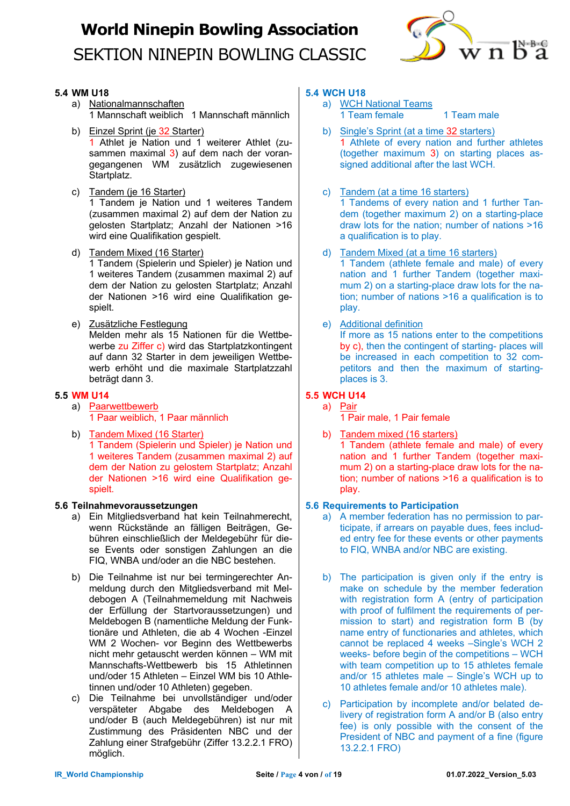

### **5.4 WM U18**

- a) Nationalmannschaften 1 Mannschaft weiblich 1 Mannschaft männlich
- b) Einzel Sprint (je 32 Starter) 1 Athlet je Nation und 1 weiterer Athlet (zusammen maximal 3) auf dem nach der vorangegangenen WM zusätzlich zugewiesenen Startplatz.
- c) Tandem (je 16 Starter) 1 Tandem je Nation und 1 weiteres Tandem (zusammen maximal 2) auf dem der Nation zu gelosten Startplatz; Anzahl der Nationen >16 wird eine Qualifikation gespielt.
- d) Tandem Mixed (16 Starter)

1 Tandem (Spielerin und Spieler) je Nation und 1 weiteres Tandem (zusammen maximal 2) auf dem der Nation zu gelosten Startplatz; Anzahl der Nationen >16 wird eine Qualifikation gespielt.

e) Zusätzliche Festlegung Melden mehr als 15 Nationen für die Wettbewerbe zu Ziffer c) wird das Startplatzkontingent auf dann 32 Starter in dem jeweiligen Wettbewerb erhöht und die maximale Startplatzzahl beträgt dann 3.

### **5.5 WM U14**

- a) Paarwettbewerb 1 Paar weiblich, 1 Paar männlich
- b) Tandem Mixed (16 Starter) 1 Tandem (Spielerin und Spieler) je Nation und 1 weiteres Tandem (zusammen maximal 2) auf dem der Nation zu gelostem Startplatz; Anzahl der Nationen >16 wird eine Qualifikation gespielt.

### **5.6 Teilnahmevoraussetzungen**

- a) Ein Mitgliedsverband hat kein Teilnahmerecht, wenn Rückstände an fälligen Beiträgen, Gebühren einschließlich der Meldegebühr für diese Events oder sonstigen Zahlungen an die FIQ, WNBA und/oder an die NBC bestehen.
- b) Die Teilnahme ist nur bei termingerechter Anmeldung durch den Mitgliedsverband mit Meldebogen A (Teilnahmemeldung mit Nachweis der Erfüllung der Startvoraussetzungen) und Meldebogen B (namentliche Meldung der Funktionäre und Athleten, die ab 4 Wochen -Einzel WM 2 Wochen- vor Beginn des Wettbewerbs nicht mehr getauscht werden können – WM mit Mannschafts-Wettbewerb bis 15 Athletinnen und/oder 15 Athleten – Einzel WM bis 10 Athletinnen und/oder 10 Athleten) gegeben.
- c) Die Teilnahme bei unvollständiger und/oder verspäteter Abgabe des Meldebogen A und/oder B (auch Meldegebühren) ist nur mit Zustimmung des Präsidenten NBC und der Zahlung einer Strafgebühr (Ziffer 13.2.2.1 FRO) möglich.

### **5.4 WCH U18**

- a) WCH National Teams
	- 1 Team female 1 Team male
- b) Single's Sprint (at a time 32 starters) 1 Athlete of every nation and further athletes (together maximum 3) on starting places assigned additional after the last WCH.
- c) Tandem (at a time 16 starters) 1 Tandems of every nation and 1 further Tandem (together maximum 2) on a starting-place draw lots for the nation; number of nations >16 a qualification is to play.
- d) Tandem Mixed (at a time 16 starters) 1 Tandem (athlete female and male) of every nation and 1 further Tandem (together maximum 2) on a starting-place draw lots for the nation; number of nations >16 a qualification is to play.
- e) Additional definition

If more as 15 nations enter to the competitions by c), then the contingent of starting- places will be increased in each competition to 32 competitors and then the maximum of startingplaces is 3.

### **5.5 WCH U14**

- a) Pair
	- 1 Pair male, 1 Pair female
- b) Tandem mixed (16 starters)

1 Tandem (athlete female and male) of every nation and 1 further Tandem (together maximum 2) on a starting-place draw lots for the nation; number of nations >16 a qualification is to play.

### **5.6 Requirements to Participation**

- a) A member federation has no permission to participate, if arrears on payable dues, fees included entry fee for these events or other payments to FIQ, WNBA and/or NBC are existing.
- b) The participation is given only if the entry is make on schedule by the member federation with registration form A (entry of participation with proof of fulfilment the requirements of permission to start) and registration form B (by name entry of functionaries and athletes, which cannot be replaced 4 weeks –Single's WCH 2 weeks- before begin of the competitions – WCH with team competition up to 15 athletes female and/or 15 athletes male – Single's WCH up to 10 athletes female and/or 10 athletes male).
- c) Participation by incomplete and/or belated delivery of registration form A and/or B (also entry fee) is only possible with the consent of the President of NBC and payment of a fine (figure 13.2.2.1 FRO)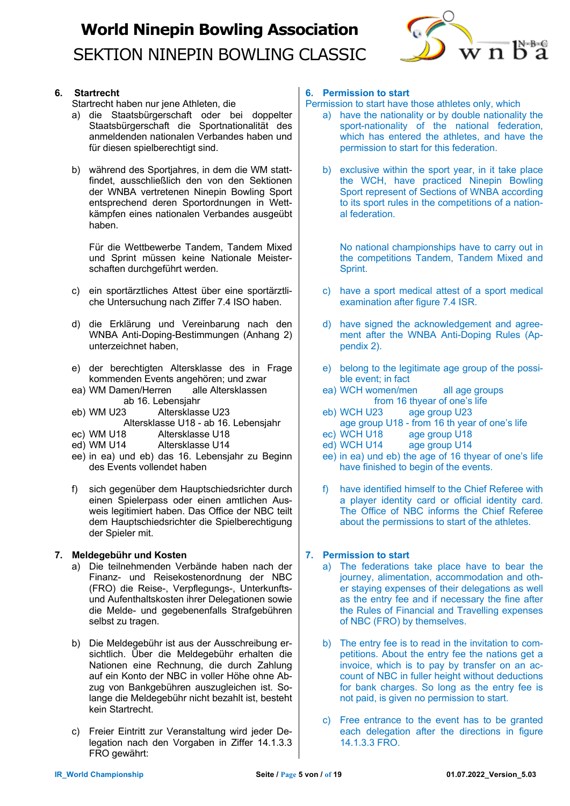

### **6. Startrecht**

Startrecht haben nur iene Athleten, die

- a) die Staatsbürgerschaft oder bei doppelter Staatsbürgerschaft die Sportnationalität des anmeldenden nationalen Verbandes haben und für diesen spielberechtigt sind.
- b) während des Sportjahres, in dem die WM stattfindet, ausschließlich den von den Sektionen der WNBA vertretenen Ninepin Bowling Sport entsprechend deren Sportordnungen in Wettkämpfen eines nationalen Verbandes ausgeübt haben.

Für die Wettbewerbe Tandem, Tandem Mixed und Sprint müssen keine Nationale Meisterschaften durchgeführt werden.

- c) ein sportärztliches Attest über eine sportärztliche Untersuchung nach Ziffer 7.4 ISO haben.
- d) die Erklärung und Vereinbarung nach den WNBA Anti-Doping-Bestimmungen (Anhang 2) unterzeichnet haben,
- e) der berechtigten Altersklasse des in Frage kommenden Events angehören; und zwar
- ea) WM Damen/Herren alle Altersklassen ab 16. Lebensjahr
- eb) WM U23 Altersklasse U23

Altersklasse U18 - ab 16. Lebensjahr

- ec) WM U18 Altersklasse U18
- ed) WM U14 Altersklasse U14
- ee) in ea) und eb) das 16. Lebensjahr zu Beginn des Events vollendet haben
- f) sich gegenüber dem Hauptschiedsrichter durch einen Spielerpass oder einen amtlichen Ausweis legitimiert haben. Das Office der NBC teilt dem Hauptschiedsrichter die Spielberechtigung der Spieler mit.

### **7. Meldegebühr und Kosten**

- a) Die teilnehmenden Verbände haben nach der Finanz- und Reisekostenordnung der NBC (FRO) die Reise-, Verpflegungs-, Unterkunftsund Aufenthaltskosten ihrer Delegationen sowie die Melde- und gegebenenfalls Strafgebühren selbst zu tragen.
- b) Die Meldegebühr ist aus der Ausschreibung ersichtlich. Über die Meldegebühr erhalten die Nationen eine Rechnung, die durch Zahlung auf ein Konto der NBC in voller Höhe ohne Abzug von Bankgebühren auszugleichen ist. Solange die Meldegebühr nicht bezahlt ist, besteht kein Startrecht.
- c) Freier Eintritt zur Veranstaltung wird jeder Delegation nach den Vorgaben in Ziffer 14.1.3.3 FRO gewährt:

### **6. Permission to start**

Permission to start have those athletes only, which

- a) have the nationality or by double nationality the sport-nationality of the national federation, which has entered the athletes, and have the permission to start for this federation.
- b) exclusive within the sport year, in it take place the WCH, have practiced Ninepin Bowling Sport represent of Sections of WNBA according to its sport rules in the competitions of a national federation.

No national championships have to carry out in the competitions Tandem, Tandem Mixed and Sprint.

- c) have a sport medical attest of a sport medical examination after figure 7.4 ISR.
- d) have signed the acknowledgement and agreement after the WNBA Anti-Doping Rules (Appendix 2).
- e) belong to the legitimate age group of the possible event; in fact
- ea) WCH women/men all age groups from 16 thyear of one's life
- eb) WCH U23 age group U23 age group U18 - from 16 th year of one's life<br>ec) WCH U18 age group U18
- ec) WCH U18 age group U18<br>ed) WCH U14 age group U14
- age group U14
- ee) in ea) und eb) the age of 16 thyear of one's life have finished to begin of the events.
- f) have identified himself to the Chief Referee with a player identity card or official identity card. The Office of NBC informs the Chief Referee about the permissions to start of the athletes.

### **7. Permission to start**

- a) The federations take place have to bear the journey, alimentation, accommodation and other staying expenses of their delegations as well as the entry fee and if necessary the fine after the Rules of Financial and Travelling expenses of NBC (FRO) by themselves.
- b) The entry fee is to read in the invitation to competitions. About the entry fee the nations get a invoice, which is to pay by transfer on an account of NBC in fuller height without deductions for bank charges. So long as the entry fee is not paid, is given no permission to start.
- c) Free entrance to the event has to be granted each delegation after the directions in figure 14.1.3.3 FRO.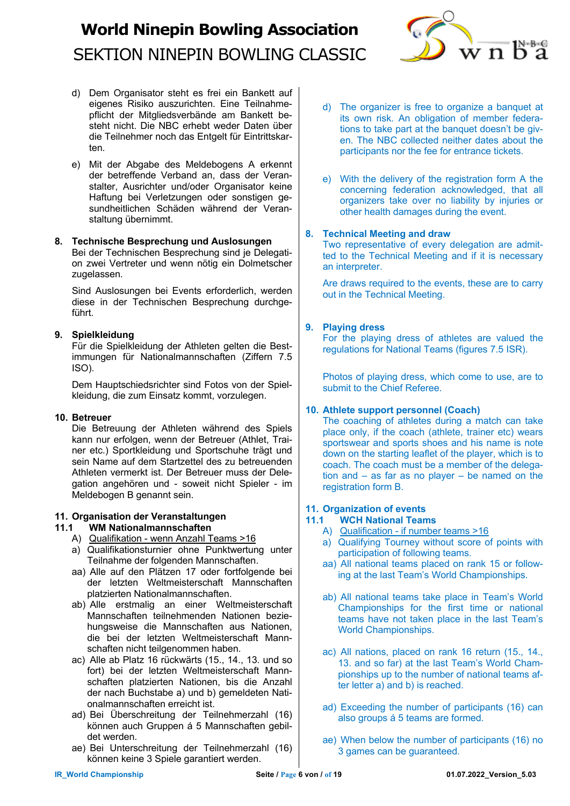

- d) Dem Organisator steht es frei ein Bankett auf eigenes Risiko auszurichten. Eine Teilnahmepflicht der Mitgliedsverbände am Bankett besteht nicht. Die NBC erhebt weder Daten über die Teilnehmer noch das Entgelt für Eintrittskarten.
- e) Mit der Abgabe des Meldebogens A erkennt der betreffende Verband an, dass der Veranstalter, Ausrichter und/oder Organisator keine Haftung bei Verletzungen oder sonstigen gesundheitlichen Schäden während der Veranstaltung übernimmt.

#### **8. Technische Besprechung und Auslosungen**

Bei der Technischen Besprechung sind je Delegation zwei Vertreter und wenn nötig ein Dolmetscher zugelassen.

Sind Auslosungen bei Events erforderlich, werden diese in der Technischen Besprechung durchgeführt.

#### **9. Spielkleidung**

Für die Spielkleidung der Athleten gelten die Bestimmungen für Nationalmannschaften (Ziffern 7.5 ISO).

Dem Hauptschiedsrichter sind Fotos von der Spielkleidung, die zum Einsatz kommt, vorzulegen.

### **10. Betreuer**

Die Betreuung der Athleten während des Spiels kann nur erfolgen, wenn der Betreuer (Athlet, Trainer etc.) Sportkleidung und Sportschuhe trägt und sein Name auf dem Startzettel des zu betreuenden Athleten vermerkt ist. Der Betreuer muss der Delegation angehören und - soweit nicht Spieler - im Meldebogen B genannt sein.

### **11. Organisation der Veranstaltungen**

### **11.1 WM Nationalmannschaften**

- A) Qualifikation wenn Anzahl Teams >16
- a) Qualifikationsturnier ohne Punktwertung unter Teilnahme der folgenden Mannschaften.
- aa) Alle auf den Plätzen 17 oder fortfolgende bei der letzten Weltmeisterschaft Mannschaften platzierten Nationalmannschaften.
- ab) Alle erstmalig an einer Weltmeisterschaft Mannschaften teilnehmenden Nationen beziehungsweise die Mannschaften aus Nationen, die bei der letzten Weltmeisterschaft Mannschaften nicht teilgenommen haben.
- ac) Alle ab Platz 16 rückwärts (15., 14., 13. und so fort) bei der letzten Weltmeisterschaft Mannschaften platzierten Nationen, bis die Anzahl der nach Buchstabe a) und b) gemeldeten Nationalmannschaften erreicht ist.
- ad) Bei Überschreitung der Teilnehmerzahl (16) können auch Gruppen á 5 Mannschaften gebildet werden.
- ae) Bei Unterschreitung der Teilnehmerzahl (16) können keine 3 Spiele garantiert werden.
- d) The organizer is free to organize a banquet at its own risk. An obligation of member federations to take part at the banquet doesn't be given. The NBC collected neither dates about the participants nor the fee for entrance tickets.
- e) With the delivery of the registration form A the concerning federation acknowledged, that all organizers take over no liability by injuries or other health damages during the event.

#### **8. Technical Meeting and draw**

Two representative of every delegation are admitted to the Technical Meeting and if it is necessary an interpreter.

Are draws required to the events, these are to carry out in the Technical Meeting.

### **9. Playing dress**

For the playing dress of athletes are valued the regulations for National Teams (figures 7.5 ISR).

Photos of playing dress, which come to use, are to submit to the Chief Referee.

### **10. Athlete support personnel (Coach)**

The coaching of athletes during a match can take place only, if the coach (athlete, trainer etc) wears sportswear and sports shoes and his name is note down on the starting leaflet of the player, which is to coach. The coach must be a member of the delegation and – as far as no player – be named on the registration form B.

### **11. Organization of events**

### **11.1 WCH National Teams**

- A) Qualification if number teams >16
- a) Qualifying Tourney without score of points with participation of following teams.
- aa) All national teams placed on rank 15 or following at the last Team's World Championships.
- ab) All national teams take place in Team's World Championships for the first time or national teams have not taken place in the last Team's World Championships.
- ac) All nations, placed on rank 16 return (15., 14., 13. and so far) at the last Team's World Championships up to the number of national teams after letter a) and b) is reached.
- ad) Exceeding the number of participants (16) can also groups á 5 teams are formed.
- ae) When below the number of participants (16) no 3 games can be guaranteed.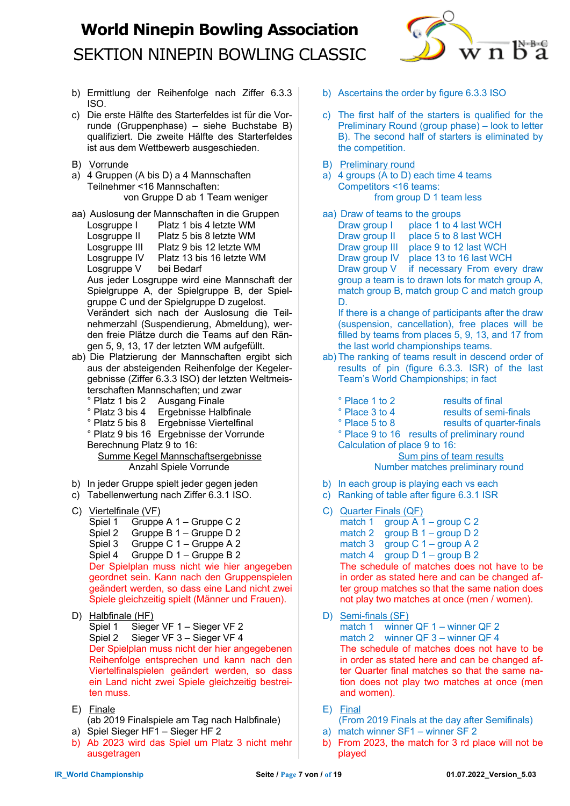

- b) Ermittlung der Reihenfolge nach Ziffer 6.3.3 ISO.
- c) Die erste Hälfte des Starterfeldes ist für die Vorrunde (Gruppenphase) – siehe Buchstabe B) qualifiziert. Die zweite Hälfte des Starterfeldes ist aus dem Wettbewerb ausgeschieden.
- B) Vorrunde
- a) 4 Gruppen (A bis D) a 4 Mannschaften Teilnehmer <16 Mannschaften: von Gruppe D ab 1 Team weniger
- aa) Auslosung der Mannschaften in die Gruppen Losgruppe I Platz 1 bis 4 letzte WM Losgruppe II Platz 5 bis 8 letzte WM Losgruppe III Platz 9 bis 12 letzte WM Losgruppe IV Platz 13 bis 16 letzte WM Losgruppe V bei Bedarf Aus jeder Losgruppe wird eine Mannschaft der Spielgruppe A, der Spielgruppe B, der Spielgruppe C und der Spielgruppe D zugelost. Verändert sich nach der Auslosung die Teil-

nehmerzahl (Suspendierung, Abmeldung), werden freie Plätze durch die Teams auf den Rängen 5, 9, 13, 17 der letzten WM aufgefüllt.

- ab) Die Platzierung der Mannschaften ergibt sich aus der absteigenden Reihenfolge der Kegelergebnisse (Ziffer 6.3.3 ISO) der letzten Weltmeisterschaften Mannschaften; und zwar
	- ° Platz 1 bis 2 Ausgang Finale
	- ° Platz 3 bis 4 Ergebnisse Halbfinale

° Platz 5 bis 8 Ergebnisse Viertelfinal ° Platz 9 bis 16 Ergebnisse der Vorrunde Berechnung Platz 9 to 16:

 Summe Kegel Mannschaftsergebnisse Anzahl Spiele Vorrunde

- b) In jeder Gruppe spielt jeder gegen jeden
- c) Tabellenwertung nach Ziffer 6.3.1 ISO.
- C) Viertelfinale (VF)
	- Spiel 1 Gruppe A 1 Gruppe C 2
	- Spiel 2 Gruppe B 1 Gruppe D 2
	- Spiel 3 Gruppe C 1 Gruppe A 2
	- Spiel 4 Gruppe D 1 Gruppe B 2

Der Spielplan muss nicht wie hier angegeben geordnet sein. Kann nach den Gruppenspielen geändert werden, so dass eine Land nicht zwei Spiele gleichzeitig spielt (Männer und Frauen).

- D) Halbfinale (HF)
	- Spiel 1 Sieger VF 1 Sieger VF 2 Spiel 2 Sieger VF 3 – Sieger VF 4 Der Spielplan muss nicht der hier angegebenen Reihenfolge entsprechen und kann nach den Viertelfinalspielen geändert werden, so dass ein Land nicht zwei Spiele gleichzeitig bestreiten muss.
- E) Finale (ab 2019 Finalspiele am Tag nach Halbfinale)
- a) Spiel Sieger HF1 Sieger HF 2
- b) Ab 2023 wird das Spiel um Platz 3 nicht mehr ausgetragen
- b) Ascertains the order by figure 6.3.3 ISO
- c) The first half of the starters is qualified for the Preliminary Round (group phase) – look to letter B). The second half of starters is eliminated by the competition.
- B) Preliminary round
- a) 4 groups  $(A \text{ to } D)$  each time 4 teams Competitors <16 teams: from group D 1 team less

aa) Draw of teams to the groups Draw group I place 1 to 4 last WCH Draw group II place 5 to 8 last WCH Draw group III place 9 to 12 last WCH Draw group IV place 13 to 16 last WCH Draw group V if necessary From every draw group a team is to drawn lots for match group A, match group B, match group C and match group D.

If there is a change of participants after the draw (suspension, cancellation), free places will be filled by teams from places 5, 9, 13, and 17 from the last world championships teams.

- ab) The ranking of teams result in descend order of results of pin (figure 6.3.3. ISR) of the last Team's World Championships; in fact
	- ° Place 1 to 2 results of final
		-
	- ° Place 3 to 4 results of semi-finals<br>° Place 5 to 8 results of quarter-finals results of quarter-finals
	- ° Place 9 to 16 results of preliminary round Calculation of place 9 to 16:

 Sum pins of team results Number matches preliminary round

- 
- b) In each group is playing each vs each
- c) Ranking of table after figure 6.3.1 ISR
- C) Quarter Finals (QF)
	- match 1 group  $A$  1 group C 2
	- match 2 group B 1 group D 2
	- match 3 group C 1 group A 2

match 4  $\overline{$ group D 1 – group B 2 The schedule of matches does not have to be

in order as stated here and can be changed after group matches so that the same nation does not play two matches at once (men / women).

- D) Semi-finals (SF) match 1 winner QF 1 – winner QF 2 match 2 winner QF 3 – winner QF 4 The schedule of matches does not have to be in order as stated here and can be changed after Quarter final matches so that the same nation does not play two matches at once (men and women).
- E) Final
- (From 2019 Finals at the day after Semifinals)
- a) match winner SF1 winner SF 2
- b) From 2023, the match for 3 rd place will not be played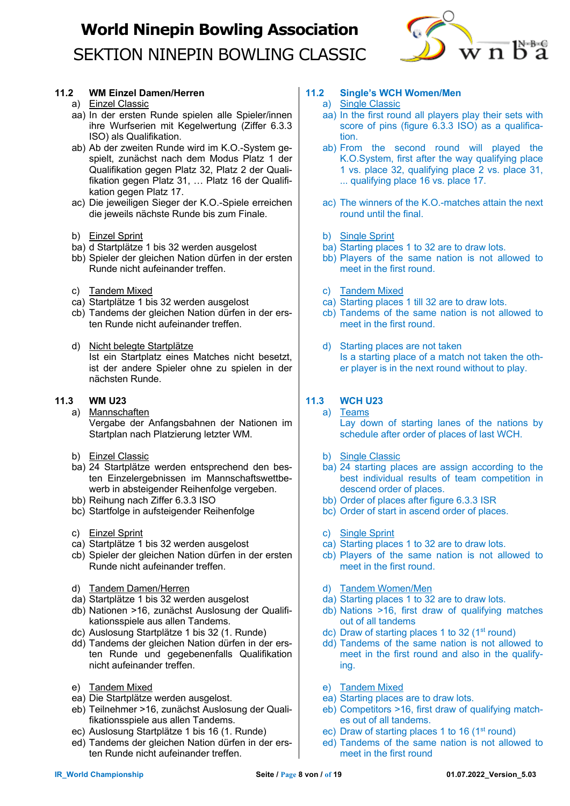

### **11.2 WM Einzel Damen/Herren**

- a) Einzel Classic
- aa) In der ersten Runde spielen alle Spieler/innen ihre Wurfserien mit Kegelwertung (Ziffer 6.3.3 ISO) als Qualifikation.
- ab) Ab der zweiten Runde wird im K.O.-System gespielt, zunächst nach dem Modus Platz 1 der Qualifikation gegen Platz 32, Platz 2 der Qualifikation gegen Platz 31, … Platz 16 der Qualifikation gegen Platz 17.
- ac) Die jeweiligen Sieger der K.O.-Spiele erreichen die jeweils nächste Runde bis zum Finale.
- b) Einzel Sprint
- ba) d Startplätze 1 bis 32 werden ausgelost
- bb) Spieler der gleichen Nation dürfen in der ersten Runde nicht aufeinander treffen.
- c) Tandem Mixed
- ca) Startplätze 1 bis 32 werden ausgelost
- cb) Tandems der gleichen Nation dürfen in der ersten Runde nicht aufeinander treffen.
- d) Nicht belegte Startplätze Ist ein Startplatz eines Matches nicht besetzt, ist der andere Spieler ohne zu spielen in der nächsten Runde.

### **11.3 WM U23**

- a) Mannschaften Vergabe der Anfangsbahnen der Nationen im Startplan nach Platzierung letzter WM.
- b) Einzel Classic
- ba) 24 Startplätze werden entsprechend den besten Einzelergebnissen im Mannschaftswettbewerb in absteigender Reihenfolge vergeben.
- bb) Reihung nach Ziffer 6.3.3 ISO
- bc) Startfolge in aufsteigender Reihenfolge
- c) Einzel Sprint
- ca) Startplätze 1 bis 32 werden ausgelost
- cb) Spieler der gleichen Nation dürfen in der ersten Runde nicht aufeinander treffen.
- d) Tandem Damen/Herren
- da) Startplätze 1 bis 32 werden ausgelost
- db) Nationen >16, zunächst Auslosung der Qualifikationsspiele aus allen Tandems.
- dc) Auslosung Startplätze 1 bis 32 (1. Runde)
- dd) Tandems der gleichen Nation dürfen in der ersten Runde und gegebenenfalls Qualifikation nicht aufeinander treffen.
- e) Tandem Mixed
- ea) Die Startplätze werden ausgelost.
- eb) Teilnehmer >16, zunächst Auslosung der Qualifikationsspiele aus allen Tandems.
- ec) Auslosung Startplätze 1 bis 16 (1. Runde)
- ed) Tandems der gleichen Nation dürfen in der ersten Runde nicht aufeinander treffen.

### **11.2 Single's WCH Women/Men**

- a) Single Classic
- aa) In the first round all players play their sets with score of pins (figure 6.3.3 ISO) as a qualification.
- ab) From the second round will played the K.O.System, first after the way qualifying place 1 vs. place 32, qualifying place 2 vs. place 31, ... qualifying place 16 vs. place 17.
- ac) The winners of the K.O.-matches attain the next round until the final.
- b) Single Sprint
- ba) Starting places 1 to 32 are to draw lots.
- bb) Players of the same nation is not allowed to meet in the first round.
- c) Tandem Mixed
- ca) Starting places 1 till 32 are to draw lots.
- cb) Tandems of the same nation is not allowed to meet in the first round.
- d) Starting places are not taken Is a starting place of a match not taken the other player is in the next round without to play.

### **11.3 WCH U23**

- a) Teams Lay down of starting lanes of the nations by schedule after order of places of last WCH.
- b) Single Classic
- ba) 24 starting places are assign according to the best individual results of team competition in descend order of places.
- bb) Order of places after figure 6.3.3 ISR
- bc) Order of start in ascend order of places.
- c) Single Sprint
- ca) Starting places 1 to 32 are to draw lots.
- cb) Players of the same nation is not allowed to meet in the first round.
- d) Tandem Women/Men
- da) Starting places 1 to 32 are to draw lots.
- db) Nations >16, first draw of qualifying matches out of all tandems
- dc) Draw of starting places 1 to 32 ( $1<sup>st</sup>$  round)
- dd) Tandems of the same nation is not allowed to meet in the first round and also in the qualifying.
- e) Tandem Mixed
- ea) Starting places are to draw lots.
- eb) Competitors >16, first draw of qualifying matches out of all tandems.
- ec) Draw of starting places 1 to 16 (1<sup>st</sup> round)
- ed) Tandems of the same nation is not allowed to meet in the first round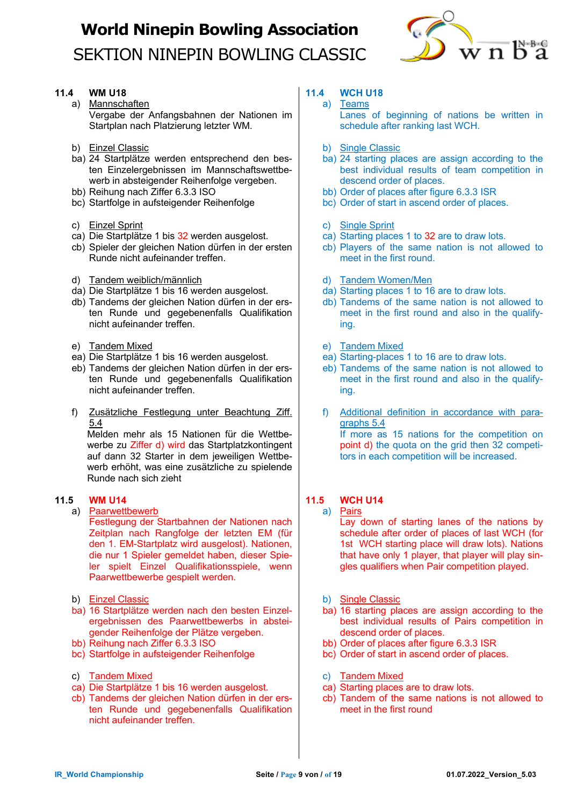

### **11.4 WM U18**

a) Mannschaften Vergabe der Anfangsbahnen der Nationen im Startplan nach Platzierung letzter WM.

- b) Einzel Classic
- ba) 24 Startplätze werden entsprechend den besten Einzelergebnissen im Mannschaftswettbewerb in absteigender Reihenfolge vergeben.
- bb) Reihung nach Ziffer 6.3.3 ISO
- bc) Startfolge in aufsteigender Reihenfolge
- c) Einzel Sprint
- ca) Die Startplätze 1 bis 32 werden ausgelost.
- cb) Spieler der gleichen Nation dürfen in der ersten Runde nicht aufeinander treffen.
- d) Tandem weiblich/männlich
- da) Die Startplätze 1 bis 16 werden ausgelost.
- db) Tandems der gleichen Nation dürfen in der ersten Runde und gegebenenfalls Qualifikation nicht aufeinander treffen.
- e) Tandem Mixed
- ea) Die Startplätze 1 bis 16 werden ausgelost.
- eb) Tandems der gleichen Nation dürfen in der ersten Runde und gegebenenfalls Qualifikation nicht aufeinander treffen.
- f) Zusätzliche Festlegung unter Beachtung Ziff. 5.4

Melden mehr als 15 Nationen für die Wettbewerbe zu Ziffer d) wird das Startplatzkontingent auf dann 32 Starter in dem jeweiligen Wettbewerb erhöht, was eine zusätzliche zu spielende Runde nach sich zieht

### **11.5 WM U14**

a) Paarwettbewerb

Festlegung der Startbahnen der Nationen nach Zeitplan nach Rangfolge der letzten EM (für den 1. EM-Startplatz wird ausgelost). Nationen, die nur 1 Spieler gemeldet haben, dieser Spieler spielt Einzel Qualifikationsspiele, wenn Paarwettbewerbe gespielt werden.

- b) Einzel Classic
- ba) 16 Startplätze werden nach den besten Einzelergebnissen des Paarwettbewerbs in absteigender Reihenfolge der Plätze vergeben.
- bb) Reihung nach Ziffer 6.3.3 ISO
- bc) Startfolge in aufsteigender Reihenfolge
- c) Tandem Mixed
- ca) Die Startplätze 1 bis 16 werden ausgelost.
- cb) Tandems der gleichen Nation dürfen in der ersten Runde und gegebenenfalls Qualifikation nicht aufeinander treffen.

### **11.4 WCH U18**

- a) Teams Lanes of beginning of nations be written in schedule after ranking last WCH.
- b) Single Classic
- ba) 24 starting places are assign according to the best individual results of team competition in descend order of places.
- bb) Order of places after figure 6.3.3 ISR
- bc) Order of start in ascend order of places.
- c) Single Sprint
- ca) Starting places 1 to 32 are to draw lots.
- cb) Players of the same nation is not allowed to meet in the first round.
- d) Tandem Women/Men
- da) Starting places 1 to 16 are to draw lots.
- db) Tandems of the same nation is not allowed to meet in the first round and also in the qualifying.
- e) Tandem Mixed
- ea) Starting-places 1 to 16 are to draw lots.
- eb) Tandems of the same nation is not allowed to meet in the first round and also in the qualifying.
- f) Additional definition in accordance with paragraphs 5.4 If more as 15 nations for the competition on point d) the quota on the grid then 32 competitors in each competition will be increased.

### **11.5 WCH U14**

a) Pairs

Lay down of starting lanes of the nations by schedule after order of places of last WCH (for 1st WCH starting place will draw lots). Nations that have only 1 player, that player will play singles qualifiers when Pair competition played.

- b) Single Classic
- ba) 16 starting places are assign according to the best individual results of Pairs competition in descend order of places.
- bb) Order of places after figure 6.3.3 ISR
- bc) Order of start in ascend order of places.
- c) Tandem Mixed
- ca) Starting places are to draw lots.
- cb) Tandem of the same nations is not allowed to meet in the first round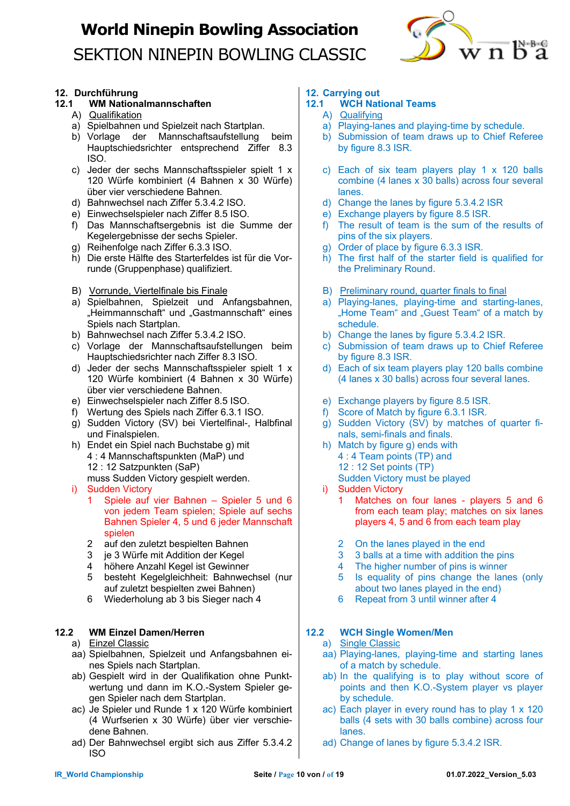

### **12. Durchführung**

### **12.1 WM Nationalmannschaften**

- A) Qualifikation
- a) Spielbahnen und Spielzeit nach Startplan.
- b) Vorlage der Mannschaftsaufstellung beim Hauptschiedsrichter entsprechend Ziffer 8.3 ISO.
- c) Jeder der sechs Mannschaftsspieler spielt 1 x 120 Würfe kombiniert (4 Bahnen x 30 Würfe) über vier verschiedene Bahnen.
- d) Bahnwechsel nach Ziffer 5.3.4.2 ISO.
- e) Einwechselspieler nach Ziffer 8.5 ISO.
- f) Das Mannschaftsergebnis ist die Summe der Kegelergebnisse der sechs Spieler.
- g) Reihenfolge nach Ziffer 6.3.3 ISO.
- h) Die erste Hälfte des Starterfeldes ist für die Vorrunde (Gruppenphase) qualifiziert.
- B) Vorrunde, Viertelfinale bis Finale
- a) Spielbahnen, Spielzeit und Anfangsbahnen, "Heimmannschaft" und "Gastmannschaft" eines Spiels nach Startplan.
- b) Bahnwechsel nach Ziffer 5.3.4.2 ISO.
- c) Vorlage der Mannschaftsaufstellungen beim Hauptschiedsrichter nach Ziffer 8.3 ISO.
- d) Jeder der sechs Mannschaftsspieler spielt 1 x 120 Würfe kombiniert (4 Bahnen x 30 Würfe) über vier verschiedene Bahnen.
- e) Einwechselspieler nach Ziffer 8.5 ISO.
- f) Wertung des Spiels nach Ziffer 6.3.1 ISO.
- g) Sudden Victory (SV) bei Viertelfinal-, Halbfinal und Finalspielen.
- h) Endet ein Spiel nach Buchstabe g) mit 4 : 4 Mannschaftspunkten (MaP) und 12 : 12 Satzpunkten (SaP) muss Sudden Victory gespielt werden.
- i) Sudden Victory
	- 1 Spiele auf vier Bahnen Spieler 5 und 6 von jedem Team spielen; Spiele auf sechs Bahnen Spieler 4, 5 und 6 jeder Mannschaft spielen
	- 2 auf den zuletzt bespielten Bahnen<br>3 ie 3 Würfe mit Addition der Kegel
	- je 3 Würfe mit Addition der Kegel
	- 4 höhere Anzahl Kegel ist Gewinner
	- 5 besteht Kegelgleichheit: Bahnwechsel (nur auf zuletzt bespielten zwei Bahnen)
	- 6 Wiederholung ab 3 bis Sieger nach 4

### **12.2 WM Einzel Damen/Herren**

- a) Einzel Classic
- aa) Spielbahnen, Spielzeit und Anfangsbahnen eines Spiels nach Startplan.
- ab) Gespielt wird in der Qualifikation ohne Punktwertung und dann im K.O.-System Spieler gegen Spieler nach dem Startplan.
- ac) Je Spieler und Runde 1 x 120 Würfe kombiniert (4 Wurfserien x 30 Würfe) über vier verschiedene Bahnen.
- ad) Der Bahnwechsel ergibt sich aus Ziffer 5.3.4.2 ISO

### **12. Carrying out**

### **12.1 WCH National Teams**

- A) Qualifying
- a) Playing-lanes and playing-time by schedule.
- b) Submission of team draws up to Chief Referee by figure 8.3 ISR.
- c) Each of six team players play 1 x 120 balls combine (4 lanes x 30 balls) across four several lanes.
- d) Change the lanes by figure 5.3.4.2 ISR
- e) Exchange players by figure 8.5 ISR.
- f) The result of team is the sum of the results of pins of the six players.
- g) Order of place by figure 6.3.3 ISR.
- h) The first half of the starter field is qualified for the Preliminary Round.
- B) Preliminary round, quarter finals to final
- a) Playing-lanes, playing-time and starting-lanes, "Home Team" and "Guest Team" of a match by schedule.
- b) Change the lanes by figure 5.3.4.2 ISR.
- c) Submission of team draws up to Chief Referee by figure 8.3 ISR.
- d) Each of six team players play 120 balls combine (4 lanes x 30 balls) across four several lanes.
- e) Exchange players by figure 8.5 ISR.
- f) Score of Match by figure 6.3.1 ISR.
- g) Sudden Victory (SV) by matches of quarter finals, semi-finals and finals.
- h) Match by figure g) ends with 4 : 4 Team points (TP) and 12 : 12 Set points (TP) Sudden Victory must be played
- i) Sudden Victory 1 Matches on four lanes - players 5 and 6 from each team play; matches on six lanes players 4, 5 and 6 from each team play
	- 2 On the lanes played in the end
	- 3 3 balls at a time with addition the pins
	- 4 The higher number of pins is winner
	- 5 Is equality of pins change the lanes (only about two lanes played in the end)
	- 6 Repeat from 3 until winner after 4

### **12.2 WCH Single Women/Men**

- a) Single Classic
- aa) Playing-lanes, playing-time and starting lanes of a match by schedule.
- ab) In the qualifying is to play without score of points and then K.O.-System player vs player by schedule.
- ac) Each player in every round has to play 1 x 120 balls (4 sets with 30 balls combine) across four lanes.
- ad) Change of lanes by figure 5.3.4.2 ISR.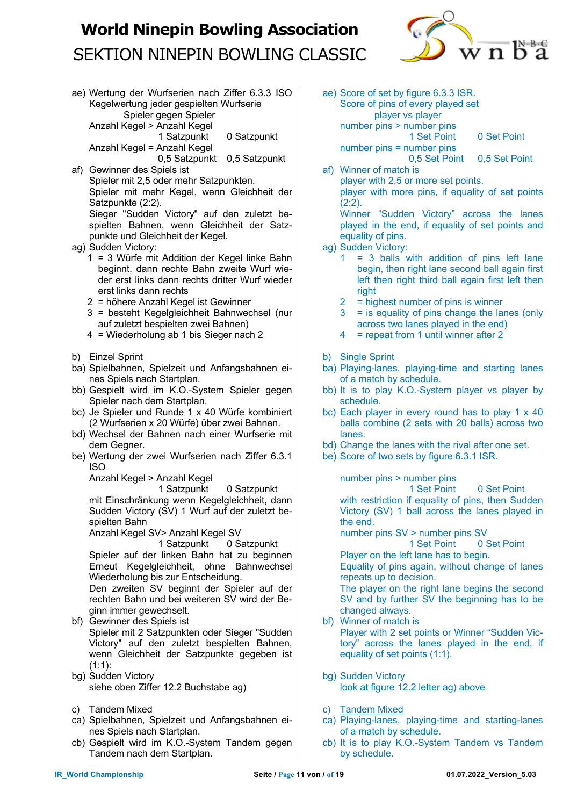

ae) Wertung der Wurfserien nach Ziffer 6.3.3 ISO Kegelwertung jeder gespielten Wurfserie Spieler gegen Spieler Anzahl Kegel > Anzahl Kegel 1 Satzpunkt 0 Satzpunkt

Anzahl Kegel = Anzahl Kegel

0,5 Satzpunkt 0,5 Satzpunkt

af) Gewinner des Spiels ist Spieler mit 2,5 oder mehr Satzpunkten. Spieler mit mehr Kegel, wenn Gleichheit der Satzpunkte (2:2). Sieger "Sudden Victory" auf den zuletzt be-

spielten Bahnen, wenn Gleichheit der Satzpunkte und Gleichheit der Kegel.

- ag) Sudden Victory:
	- 1 = 3 Würfe mit Addition der Kegel linke Bahn beginnt, dann rechte Bahn zweite Wurf wieder erst links dann rechts dritter Wurf wieder erst links dann rechts
	- 2 = höhere Anzahl Kegel ist Gewinner
	- 3 = besteht Kegelgleichheit Bahnwechsel (nur auf zuletzt bespielten zwei Bahnen)
	- 4 = Wiederholung ab 1 bis Sieger nach 2
- b) Einzel Sprint
- ba) Spielbahnen, Spielzeit und Anfangsbahnen eines Spiels nach Startplan.
- bb) Gespielt wird im K.O.-System Spieler gegen Spieler nach dem Startplan.
- bc) Je Spieler und Runde 1 x 40 Würfe kombiniert (2 Wurfserien x 20 Würfe) über zwei Bahnen.
- bd) Wechsel der Bahnen nach einer Wurfserie mit dem Gegner.
- be) Wertung der zwei Wurfserien nach Ziffer 6.3.1 ISO

Anzahl Kegel > Anzahl Kegel

1 Satzpunkt 0 Satzpunkt mit Einschränkung wenn Kegelgleichheit, dann Sudden Victory (SV) 1 Wurf auf der zuletzt bespielten Bahn

Anzahl Kegel SV> Anzahl Kegel SV

1 Satzpunkt 0 Satzpunkt Spieler auf der linken Bahn hat zu beginnen Erneut Kegelgleichheit, ohne Bahnwechsel Wiederholung bis zur Entscheidung.

Den zweiten SV beginnt der Spieler auf der rechten Bahn und bei weiteren SV wird der Beginn immer gewechselt.

- bf) Gewinner des Spiels ist Spieler mit 2 Satzpunkten oder Sieger "Sudden Victory" auf den zuletzt bespielten Bahnen, wenn Gleichheit der Satzpunkte gegeben ist (1:1):
- bg) Sudden Victory siehe oben Ziffer 12.2 Buchstabe ag)
- c) Tandem Mixed
- ca) Spielbahnen, Spielzeit und Anfangsbahnen eines Spiels nach Startplan.
- cb) Gespielt wird im K.O.-System Tandem gegen Tandem nach dem Startplan.
- ae) Score of set by figure 6.3.3 ISR. Score of pins of every played set player vs player number pins > number pins 1 Set Point 0 Set Point number pins = number pins 0,5 Set Point 0,5 Set Point
- af) Winner of match is player with 2,5 or more set points. player with more pins, if equality of set points (2:2).

Winner "Sudden Victory" across the lanes played in the end, if equality of set points and equality of pins.

- ag) Sudden Victory:
	- $1 = 3$  balls with addition of pins left lane begin, then right lane second ball again first left then right third ball again first left then right
	- $2 =$  highest number of pins is winner
	- 3 = is equality of pins change the lanes (only across two lanes played in the end)
	- 4 = repeat from 1 until winner after 2
- b) Single Sprint
- ba) Playing-lanes, playing-time and starting lanes of a match by schedule.
- bb) It is to play K.O.-System player vs player by schedule.
- bc) Each player in every round has to play 1 x 40 balls combine (2 sets with 20 balls) across two lanes.
- bd) Change the lanes with the rival after one set.
- be) Score of two sets by figure 6.3.1 ISR.

number pins > number pins

1 Set Point 0 Set Point with restriction if equality of pins, then Sudden Victory (SV) 1 ball across the lanes played in the end.

number pins SV > number pins SV

1 Set Point 0 Set Point

Player on the left lane has to begin.

Equality of pins again, without change of lanes repeats up to decision.

The player on the right lane begins the second SV and by further SV the beginning has to be changed always.

- bf) Winner of match is Player with 2 set points or Winner "Sudden Victory" across the lanes played in the end, if equality of set points (1:1).
- bg) Sudden Victory look at figure 12.2 letter ag) above
- c) Tandem Mixed
- ca) Playing-lanes, playing-time and starting-lanes of a match by schedule.
- cb) It is to play K.O.-System Tandem vs Tandem by schedule.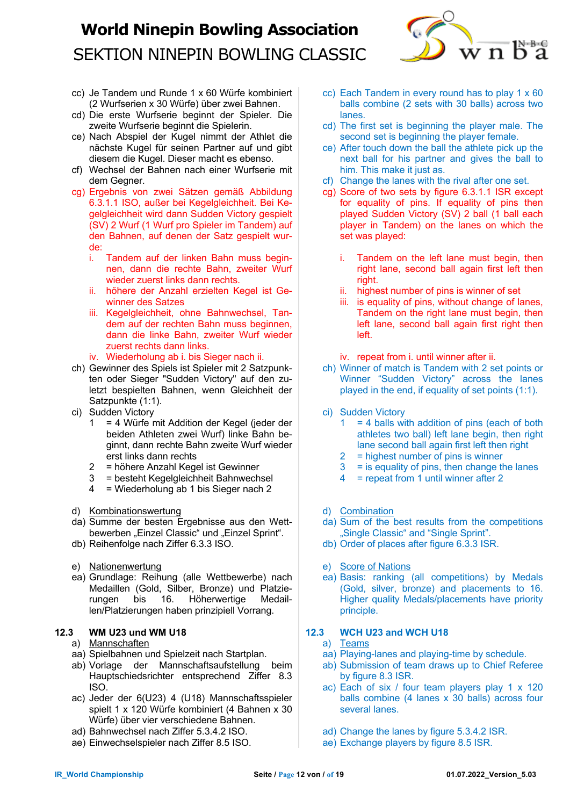

- cc) Je Tandem und Runde 1 x 60 Würfe kombiniert (2 Wurfserien x 30 Würfe) über zwei Bahnen.
- cd) Die erste Wurfserie beginnt der Spieler. Die zweite Wurfserie beginnt die Spielerin.
- ce) Nach Abspiel der Kugel nimmt der Athlet die nächste Kugel für seinen Partner auf und gibt diesem die Kugel. Dieser macht es ebenso.
- cf) Wechsel der Bahnen nach einer Wurfserie mit dem Gegner.
- cg) Ergebnis von zwei Sätzen gemäß Abbildung 6.3.1.1 ISO, außer bei Kegelgleichheit. Bei Kegelgleichheit wird dann Sudden Victory gespielt (SV) 2 Wurf (1 Wurf pro Spieler im Tandem) auf den Bahnen, auf denen der Satz gespielt wurde:
	- i. Tandem auf der linken Bahn muss beginnen, dann die rechte Bahn, zweiter Wurf wieder zuerst links dann rechts.
	- ii. höhere der Anzahl erzielten Kegel ist Gewinner des Satzes
	- iii. Kegelgleichheit, ohne Bahnwechsel, Tandem auf der rechten Bahn muss beginnen, dann die linke Bahn, zweiter Wurf wieder zuerst rechts dann links.
	- iv. Wiederholung ab i. bis Sieger nach ii.
- ch) Gewinner des Spiels ist Spieler mit 2 Satzpunkten oder Sieger "Sudden Victory" auf den zuletzt bespielten Bahnen, wenn Gleichheit der Satzpunkte (1:1).
- ci) Sudden Victory
	- 1 = 4 Würfe mit Addition der Kegel (jeder der beiden Athleten zwei Wurf) linke Bahn beginnt, dann rechte Bahn zweite Wurf wieder erst links dann rechts
	- 2 = höhere Anzahl Kegel ist Gewinner
	- 3 = besteht Kegelgleichheit Bahnwechsel
	- 4 = Wiederholung ab 1 bis Sieger nach 2
- d) Kombinationswertung
- da) Summe der besten Ergebnisse aus den Wettbewerben "Einzel Classic" und "Einzel Sprint".
- db) Reihenfolge nach Ziffer 6.3.3 ISO.
- e) Nationenwertung
- ea) Grundlage: Reihung (alle Wettbewerbe) nach Medaillen (Gold, Silber, Bronze) und Platzierungen bis 16. Höherwertige Medaillen/Platzierungen haben prinzipiell Vorrang.

### **12.3 WM U23 und WM U18**

### a) Mannschaften

- aa) Spielbahnen und Spielzeit nach Startplan.
- ab) Vorlage der Mannschaftsaufstellung beim Hauptschiedsrichter entsprechend Ziffer 8.3 ISO.
- ac) Jeder der 6(U23) 4 (U18) Mannschaftsspieler spielt 1 x 120 Würfe kombiniert (4 Bahnen x 30 Würfe) über vier verschiedene Bahnen.
- ad) Bahnwechsel nach Ziffer 5.3.4.2 ISO.
- ae) Einwechselspieler nach Ziffer 8.5 ISO.
- cc) Each Tandem in every round has to play 1 x 60 balls combine (2 sets with 30 balls) across two lanes.
- cd) The first set is beginning the player male. The second set is beginning the player female.
- ce) After touch down the ball the athlete pick up the next ball for his partner and gives the ball to him. This make it just as.
- cf) Change the lanes with the rival after one set.
- cg) Score of two sets by figure 6.3.1.1 ISR except for equality of pins. If equality of pins then played Sudden Victory (SV) 2 ball (1 ball each player in Tandem) on the lanes on which the set was played:
	- i. Tandem on the left lane must begin, then right lane, second ball again first left then right.
	- ii. highest number of pins is winner of set
	- iii. is equality of pins, without change of lanes, Tandem on the right lane must begin, then left lane, second ball again first right then left.
	- iv. repeat from i. until winner after ii.
- ch) Winner of match is Tandem with 2 set points or Winner "Sudden Victory" across the lanes played in the end, if equality of set points (1:1).
- ci) Sudden Victory
	- $1 = 4$  balls with addition of pins (each of both athletes two ball) left lane begin, then right lane second ball again first left then right
	- 2 = highest number of pins is winner
	- $3 =$  is equality of pins, then change the lanes<br>  $4 =$  repeat from 1 until winner after 2
	- $=$  repeat from 1 until winner after 2
- d) Combination
- da) Sum of the best results from the competitions "Single Classic" and "Single Sprint".
- db) Order of places after figure 6.3.3 ISR.
- e) Score of Nations
- ea) Basis: ranking (all competitions) by Medals (Gold, silver, bronze) and placements to 16. Higher quality Medals/placements have priority principle.

### **12.3 WCH U23 and WCH U18**

- a) Teams
- aa) Playing-lanes and playing-time by schedule.
- ab) Submission of team draws up to Chief Referee by figure 8.3 ISR.
- ac) Each of six / four team players play 1 x 120 balls combine (4 lanes x 30 balls) across four several lanes.
- ad) Change the lanes by figure 5.3.4.2 ISR.
- ae) Exchange players by figure 8.5 ISR.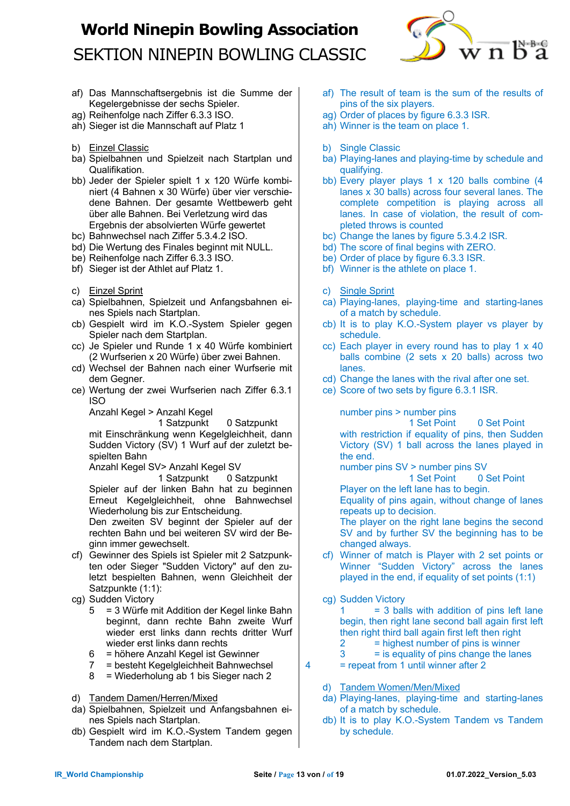

- af) Das Mannschaftsergebnis ist die Summe der Kegelergebnisse der sechs Spieler.
- ag) Reihenfolge nach Ziffer 6.3.3 ISO.
- ah) Sieger ist die Mannschaft auf Platz 1
- b) Einzel Classic
- ba) Spielbahnen und Spielzeit nach Startplan und Qualifikation.
- bb) Jeder der Spieler spielt 1 x 120 Würfe kombiniert (4 Bahnen x 30 Würfe) über vier verschiedene Bahnen. Der gesamte Wettbewerb geht über alle Bahnen. Bei Verletzung wird das Ergebnis der absolvierten Würfe gewertet
- bc) Bahnwechsel nach Ziffer 5.3.4.2 ISO.
- bd) Die Wertung des Finales beginnt mit NULL.
- be) Reihenfolge nach Ziffer 6.3.3 ISO.
- bf) Sieger ist der Athlet auf Platz 1.
- c) Einzel Sprint
- ca) Spielbahnen, Spielzeit und Anfangsbahnen eines Spiels nach Startplan.
- cb) Gespielt wird im K.O.-System Spieler gegen Spieler nach dem Startplan.
- cc) Je Spieler und Runde 1 x 40 Würfe kombiniert (2 Wurfserien x 20 Würfe) über zwei Bahnen.
- cd) Wechsel der Bahnen nach einer Wurfserie mit dem Gegner.
- ce) Wertung der zwei Wurfserien nach Ziffer 6.3.1 ISO

Anzahl Kegel > Anzahl Kegel

1 Satzpunkt 0 Satzpunkt mit Einschränkung wenn Kegelgleichheit, dann Sudden Victory (SV) 1 Wurf auf der zuletzt bespielten Bahn

Anzahl Kegel SV> Anzahl Kegel SV

1 Satzpunkt 0 Satzpunkt Spieler auf der linken Bahn hat zu beginnen Erneut Kegelgleichheit, ohne Bahnwechsel Wiederholung bis zur Entscheidung.

Den zweiten SV beginnt der Spieler auf der rechten Bahn und bei weiteren SV wird der Beginn immer gewechselt.

- cf) Gewinner des Spiels ist Spieler mit 2 Satzpunkten oder Sieger "Sudden Victory" auf den zuletzt bespielten Bahnen, wenn Gleichheit der Satzpunkte (1:1):
- cg) Sudden Victory
	- 5 = 3 Würfe mit Addition der Kegel linke Bahn beginnt, dann rechte Bahn zweite Wurf wieder erst links dann rechts dritter Wurf wieder erst links dann rechts
	- 6 = höhere Anzahl Kegel ist Gewinner
	- 7 = besteht Kegelgleichheit Bahnwechsel
	- 8 = Wiederholung ab 1 bis Sieger nach 2
- d) Tandem Damen/Herren/Mixed
- da) Spielbahnen, Spielzeit und Anfangsbahnen eines Spiels nach Startplan.
- db) Gespielt wird im K.O.-System Tandem gegen Tandem nach dem Startplan.
- af) The result of team is the sum of the results of pins of the six players.
- ag) Order of places by figure 6.3.3 ISR.
- ah) Winner is the team on place 1.
- b) Single Classic
- ba) Playing-lanes and playing-time by schedule and qualifying.
- bb) Every player plays 1 x 120 balls combine (4 lanes x 30 balls) across four several lanes. The complete competition is playing across all lanes. In case of violation, the result of completed throws is counted
- bc) Change the lanes by figure 5.3.4.2 ISR.
- bd) The score of final begins with ZERO.
- be) Order of place by figure 6.3.3 ISR.
- bf) Winner is the athlete on place 1.
- c) Single Sprint
- ca) Playing-lanes, playing-time and starting-lanes of a match by schedule.
- cb) It is to play K.O.-System player vs player by schedule.
- cc) Each player in every round has to play 1 x 40 balls combine (2 sets x 20 balls) across two lanes.
- cd) Change the lanes with the rival after one set.
- ce) Score of two sets by figure 6.3.1 ISR.

number pins > number pins

1 Set Point 0 Set Point with restriction if equality of pins, then Sudden Victory (SV) 1 ball across the lanes played in the end.

number pins SV > number pins SV

1 Set Point 0 Set Point

Player on the left lane has to begin.

Equality of pins again, without change of lanes repeats up to decision.

The player on the right lane begins the second SV and by further SV the beginning has to be changed always.

- cf) Winner of match is Player with 2 set points or Winner "Sudden Victory" across the lanes played in the end, if equality of set points (1:1)
- cg) Sudden Victory

 $1 = 3$  balls with addition of pins left lane begin, then right lane second ball again first left then right third ball again first left then right

- $2 =$  highest number of pins is winner
- $3 = is$  equality of pins change the lanes
- 4 = repeat from 1 until winner after 2
	- d) Tandem Women/Men/Mixed
	- da) Playing-lanes, playing-time and starting-lanes of a match by schedule.
	- db) It is to play K.O.-System Tandem vs Tandem by schedule.
- 
-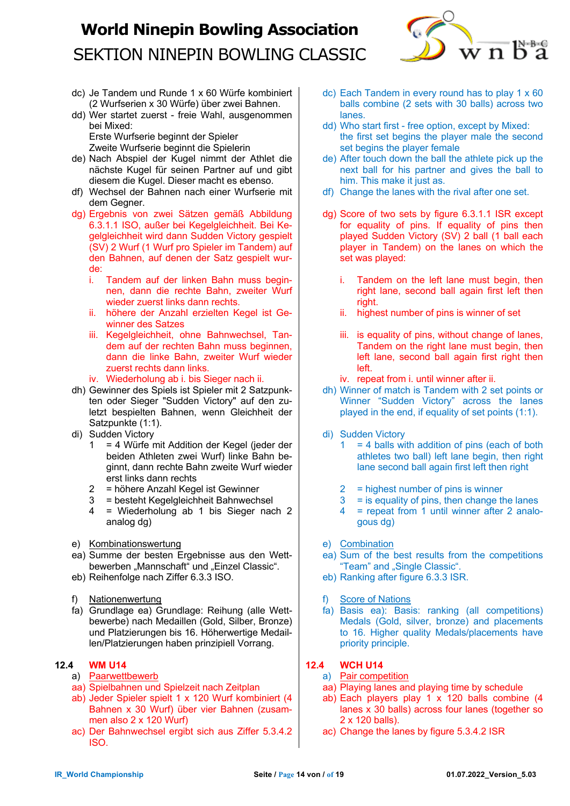

- dc) Je Tandem und Runde 1 x 60 Würfe kombiniert (2 Wurfserien x 30 Würfe) über zwei Bahnen.
- dd) Wer startet zuerst freie Wahl, ausgenommen bei Mixed:

Erste Wurfserie beginnt der Spieler Zweite Wurfserie beginnt die Spielerin

- de) Nach Abspiel der Kugel nimmt der Athlet die nächste Kugel für seinen Partner auf und gibt diesem die Kugel. Dieser macht es ebenso.
- df) Wechsel der Bahnen nach einer Wurfserie mit dem Gegner.
- dg) Ergebnis von zwei Sätzen gemäß Abbildung 6.3.1.1 ISO, außer bei Kegelgleichheit. Bei Kegelgleichheit wird dann Sudden Victory gespielt (SV) 2 Wurf (1 Wurf pro Spieler im Tandem) auf den Bahnen, auf denen der Satz gespielt wurde:
	- i. Tandem auf der linken Bahn muss beginnen, dann die rechte Bahn, zweiter Wurf wieder zuerst links dann rechts.
	- ii. höhere der Anzahl erzielten Kegel ist Gewinner des Satzes
	- iii. Kegelgleichheit, ohne Bahnwechsel, Tandem auf der rechten Bahn muss beginnen, dann die linke Bahn, zweiter Wurf wieder zuerst rechts dann links.
	- iv. Wiederholung ab i. bis Sieger nach ii.
- dh) Gewinner des Spiels ist Spieler mit 2 Satzpunkten oder Sieger "Sudden Victory" auf den zuletzt bespielten Bahnen, wenn Gleichheit der Satzpunkte (1:1).
- di) Sudden Victory
	- 1 = 4 Würfe mit Addition der Kegel (jeder der beiden Athleten zwei Wurf) linke Bahn beginnt, dann rechte Bahn zweite Wurf wieder erst links dann rechts
	- 2 = höhere Anzahl Kegel ist Gewinner
	- 3 = besteht Kegelgleichheit Bahnwechsel
	- 4 = Wiederholung ab 1 bis Sieger nach 2 analog dg)
- e) Kombinationswertung
- ea) Summe der besten Ergebnisse aus den Wettbewerben "Mannschaft" und "Einzel Classic".
- eb) Reihenfolge nach Ziffer 6.3.3 ISO.
- f) Nationenwertung
- fa) Grundlage ea) Grundlage: Reihung (alle Wettbewerbe) nach Medaillen (Gold, Silber, Bronze) und Platzierungen bis 16. Höherwertige Medaillen/Platzierungen haben prinzipiell Vorrang.

### **12.4 WM U14**

- a) Paarwettbewerb
- aa) Spielbahnen und Spielzeit nach Zeitplan
- ab) Jeder Spieler spielt 1 x 120 Wurf kombiniert (4 Bahnen x 30 Wurf) über vier Bahnen (zusammen also 2 x 120 Wurf)
- ac) Der Bahnwechsel ergibt sich aus Ziffer 5.3.4.2 ISO.
- dc) Each Tandem in every round has to play 1 x 60 balls combine (2 sets with 30 balls) across two lanes.
- dd) Who start first free option, except by Mixed: the first set begins the player male the second set begins the player female
- de) After touch down the ball the athlete pick up the next ball for his partner and gives the ball to him. This make it just as.
- df) Change the lanes with the rival after one set.
- dg) Score of two sets by figure 6.3.1.1 ISR except for equality of pins. If equality of pins then played Sudden Victory (SV) 2 ball (1 ball each player in Tandem) on the lanes on which the set was played:
	- i. Tandem on the left lane must begin, then right lane, second ball again first left then right.
	- ii. highest number of pins is winner of set
	- iii. is equality of pins, without change of lanes, Tandem on the right lane must begin, then left lane, second ball again first right then left.
	- iv. repeat from i. until winner after ii.
- dh) Winner of match is Tandem with 2 set points or Winner "Sudden Victory" across the lanes played in the end, if equality of set points (1:1).
- di) Sudden Victory
	- $1 = 4$  balls with addition of pins (each of both athletes two ball) left lane begin, then right lane second ball again first left then right
	- $2 =$  highest number of pins is winner
	- $3 =$  is equality of pins, then change the lanes
	- 4 = repeat from 1 until winner after 2 analogous dg)
- e) Combination
- ea) Sum of the best results from the competitions "Team" and "Single Classic".
- eb) Ranking after figure 6.3.3 ISR.
- f) Score of Nations
- fa) Basis ea): Basis: ranking (all competitions) Medals (Gold, silver, bronze) and placements to 16. Higher quality Medals/placements have priority principle.

### **12.4 WCH U14**

- a) Pair competition
- aa) Playing lanes and playing time by schedule
- ab) Each players play 1 x 120 balls combine (4 lanes x 30 balls) across four lanes (together so 2 x 120 balls).
- ac) Change the lanes by figure 5.3.4.2 ISR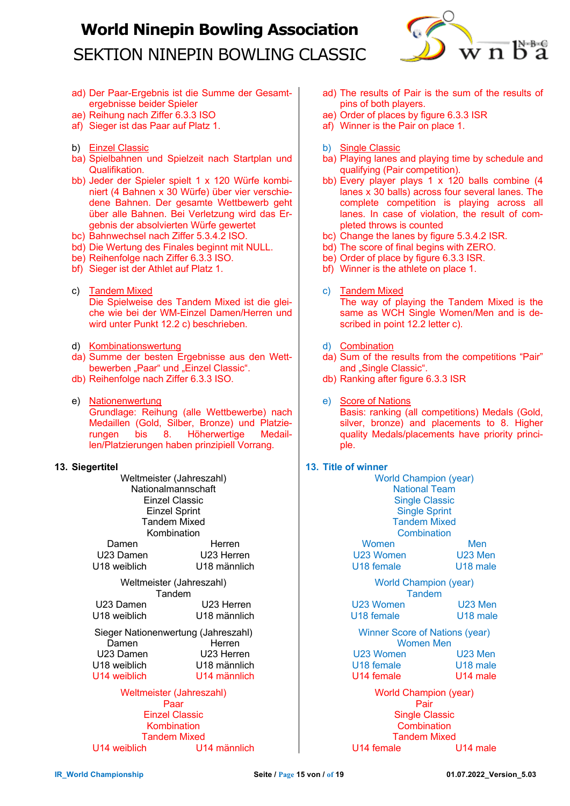

- ad) Der Paar-Ergebnis ist die Summe der Gesamtergebnisse beider Spieler
- ae) Reihung nach Ziffer 6.3.3 ISO
- af) Sieger ist das Paar auf Platz 1.
- b) Einzel Classic
- ba) Spielbahnen und Spielzeit nach Startplan und Qualifikation.
- bb) Jeder der Spieler spielt 1 x 120 Würfe kombiniert (4 Bahnen x 30 Würfe) über vier verschiedene Bahnen. Der gesamte Wettbewerb geht über alle Bahnen. Bei Verletzung wird das Ergebnis der absolvierten Würfe gewertet
- bc) Bahnwechsel nach Ziffer 5.3.4.2 ISO.
- bd) Die Wertung des Finales beginnt mit NULL.
- be) Reihenfolge nach Ziffer 6.3.3 ISO.
- bf) Sieger ist der Athlet auf Platz 1.
- c) Tandem Mixed Die Spielweise des Tandem Mixed ist die gleiche wie bei der WM-Einzel Damen/Herren und wird unter Punkt 12.2 c) beschrieben.
- d) Kombinationswertung
- da) Summe der besten Ergebnisse aus den Wettbewerben "Paar" und "Einzel Classic".
- db) Reihenfolge nach Ziffer 6.3.3 ISO.
- e) Nationenwertung Grundlage: Reihung (alle Wettbewerbe) nach Medaillen (Gold, Silber, Bronze) und Platzierungen bis 8. Höherwertige Medaillen/Platzierungen haben prinzipiell Vorrang.

### **13. Siegertitel**

| an ur                               |              |  |  |  |
|-------------------------------------|--------------|--|--|--|
| Weltmeister (Jahreszahl)            |              |  |  |  |
| Nationalmannschaft                  |              |  |  |  |
| Einzel Classic                      |              |  |  |  |
| <b>Einzel Sprint</b>                |              |  |  |  |
| <b>Tandem Mixed</b>                 |              |  |  |  |
| Kombination                         |              |  |  |  |
| Damen                               | Herren       |  |  |  |
| U23 Damen                           | U23 Herren   |  |  |  |
| U18 weiblich                        | U18 männlich |  |  |  |
| Weltmeister (Jahreszahl)            |              |  |  |  |
| Tandem                              |              |  |  |  |
| U23 Damen                           | U23 Herren   |  |  |  |
| U18 weiblich                        | U18 männlich |  |  |  |
| Sieger Nationenwertung (Jahreszahl) |              |  |  |  |
| Damen                               | Herren       |  |  |  |
| U23 Damen                           | U23 Herren   |  |  |  |
| U18 weiblich                        | U18 männlich |  |  |  |
| U14 weiblich                        | U14 männlich |  |  |  |
| Weltmeister (Jahreszahl)            |              |  |  |  |
| Paar                                |              |  |  |  |
| <b>Einzel Classic</b>               |              |  |  |  |
| وبالمستقلة والمستحدث والمستحدث      |              |  |  |  |

Kombination Tandem Mixed U14 weiblich U14 männlich

- ad) The results of Pair is the sum of the results of pins of both players.
- ae) Order of places by figure 6.3.3 ISR
- af) Winner is the Pair on place 1.
- b) Single Classic
- ba) Playing lanes and playing time by schedule and qualifying (Pair competition).
- bb) Every player plays 1 x 120 balls combine (4 lanes x 30 balls) across four several lanes. The complete competition is playing across all lanes. In case of violation, the result of completed throws is counted
- bc) Change the lanes by figure 5.3.4.2 ISR.
- bd) The score of final begins with ZERO.
- be) Order of place by figure 6.3.3 ISR.
- bf) Winner is the athlete on place 1.
- c) Tandem Mixed The way of playing the Tandem Mixed is the same as WCH Single Women/Men and is described in point 12.2 letter c).
- d) Combination
- da) Sum of the results from the competitions "Pair" and "Single Classic".
- db) Ranking after figure 6.3.3 ISR
- e) Score of Nations Basis: ranking (all competitions) Medals (Gold, silver, bronze) and placements to 8. Higher quality Medals/placements have priority principle.
- **13. Title of winner**

| <b>World Champion (year)</b>           |                      |  |  |
|----------------------------------------|----------------------|--|--|
| <b>National Team</b>                   |                      |  |  |
| <b>Single Classic</b>                  |                      |  |  |
| <b>Single Sprint</b>                   |                      |  |  |
| <b>Tandem Mixed</b>                    |                      |  |  |
| Combination                            |                      |  |  |
| Women                                  | Men                  |  |  |
| U23 Women                              | U23 Men              |  |  |
| U18 female                             | U <sub>18</sub> male |  |  |
| <b>World Champion (year)</b><br>Γandem |                      |  |  |
|                                        |                      |  |  |

Tandem U23 Women U23 Men U18 female U18 male

Winner Score of Nations (year) Women Men U23 Women U23 Men U18 female U18 male U14 female U14 male

> World Champion (year) Pair Single Classic **Combination** Tandem Mixed<br>Ile U14 male

 $U14$  female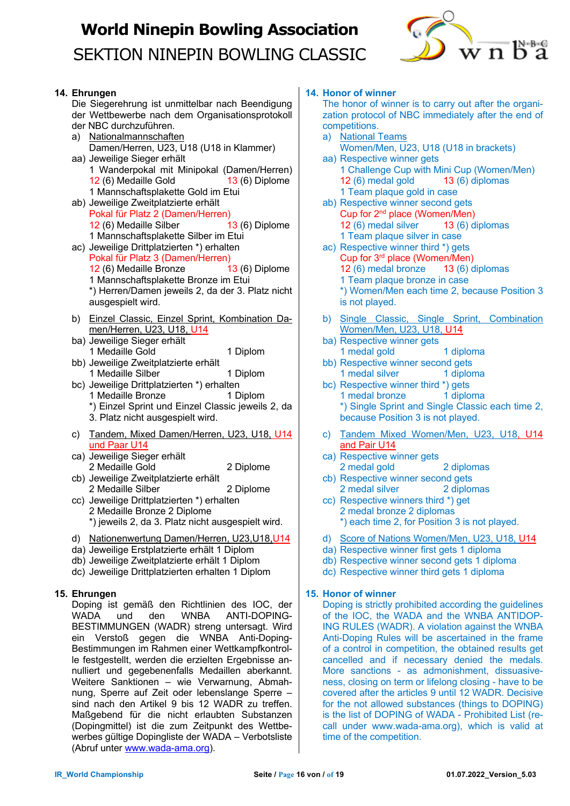

### **14. Ehrungen**

Die Siegerehrung ist unmittelbar nach Beendigung der Wettbewerbe nach dem Organisationsprotokoll der NBC durchzuführen.

- a) Nationalmannschaften Damen/Herren, U23, U18 (U18 in Klammer) aa) Jeweilige Sieger erhält 1 Wanderpokal mit Minipokal (Damen/Herren) 12 (6) Medaille Gold 13 (6) Diplome 1 Mannschaftsplakette Gold im Etui ab) Jeweilige Zweitplatzierte erhält Pokal für Platz 2 (Damen/Herren) 12 (6) Medaille Silber 13 (6) Diplome 1 Mannschaftsplakette Silber im Etui ac) Jeweilige Drittplatzierten \*) erhalten Pokal für Platz 3 (Damen/Herren) 12 (6) Medaille Bronze 13 (6) Diplome 1 Mannschaftsplakette Bronze im Etui \*) Herren/Damen jeweils 2, da der 3. Platz nicht ausgespielt wird. b) Einzel Classic, Einzel Sprint, Kombination Da-
- men/Herren, U23, U18, U14 ba) Jeweilige Sieger erhält 1 Medaille Gold 1 Diplom
- bb) Jeweilige Zweitplatzierte erhält 1 Medaille Silber 1 Diplom
- bc) Jeweilige Drittplatzierten \*) erhalten 1 Medaille Bronze 1 Diplom \*) Einzel Sprint und Einzel Classic jeweils 2, da 3. Platz nicht ausgespielt wird.
- c) Tandem, Mixed Damen/Herren, U23, U18, U14 und Paar U14
- ca) Jeweilige Sieger erhält 2 Medaille Gold 2 Diplome cb) Jeweilige Zweitplatzierte erhält
- 2 Medaille Silber 2 Diplome cc) Jeweilige Drittplatzierten \*) erhalten
- 2 Medaille Bronze 2 Diplome \*) jeweils 2, da 3. Platz nicht ausgespielt wird.
- d) Nationenwertung Damen/Herren, U23,U18,U14
- da) Jeweilige Erstplatzierte erhält 1 Diplom
- db) Jeweilige Zweitplatzierte erhält 1 Diplom
- dc) Jeweilige Drittplatzierten erhalten 1 Diplom

### **15. Ehrungen**

Doping ist gemäß den Richtlinien des IOC, der WADA und den WNBA ANTI-DOPING-BESTIMMUNGEN (WADR) streng untersagt. Wird ein Verstoß gegen die WNBA Anti-Doping-Bestimmungen im Rahmen einer Wettkampfkontrolle festgestellt, werden die erzielten Ergebnisse annulliert und gegebenenfalls Medaillen aberkannt. Weitere Sanktionen – wie Verwarnung, Abmahnung, Sperre auf Zeit oder lebenslange Sperre – sind nach den Artikel 9 bis 12 WADR zu treffen. Maßgebend für die nicht erlaubten Substanzen (Dopingmittel) ist die zum Zeitpunkt des Wettbewerbes gültige Dopingliste der WADA – Verbotsliste (Abruf unter www.wada-ama.org).

#### **14. Honor of winner**

The honor of winner is to carry out after the organization protocol of NBC immediately after the end of competitions.

- a) National Teams Women/Men, U23, U18 (U18 in brackets)
- aa) Respective winner gets 1 Challenge Cup with Mini Cup (Women/Men)<br>12 (6) medal gold 13 (6) diplomas 12 $(6)$  medal gold 1 Team plaque gold in case
- ab) Respective winner second gets Cup for 2nd place (Women/Men) 12 (6) medal silver 13 (6) diplomas 1 Team plaque silver in case
- ac) Respective winner third \*) gets Cup for 3rd place (Women/Men) 12 (6) medal bronze 13 (6) diplomas 1 Team plaque bronze in case \*) Women/Men each time 2, because Position 3 is not played.
- b) Single Classic, Single Sprint, Combination Women/Men, U23, U18, U14
- ba) Respective winner gets 1 medal gold 1 diploma
- bb) Respective winner second gets 1 medal silver 1 diploma
- bc) Respective winner third \*) gets 1 medal bronze 1 diploma \*) Single Sprint and Single Classic each time 2, because Position 3 is not played.
- c) Tandem Mixed Women/Men, U23, U18, U14 and Pair U14
- ca) Respective winner gets 2 medal gold 2 diplomas
- cb) Respective winner second gets 2 medal silver 2 diplomas
- cc) Respective winners third \*) get 2 medal bronze 2 diplomas \*) each time 2, for Position 3 is not played.
- d) Score of Nations Women/Men, U23, U18, U14
- da) Respective winner first gets 1 diploma
- db) Respective winner second gets 1 diploma
- dc) Respective winner third gets 1 diploma

### **15. Honor of winner**

Doping is strictly prohibited according the guidelines of the IOC, the WADA and the WNBA ANTIDOP-ING RULES (WADR). A violation against the WNBA Anti-Doping Rules will be ascertained in the frame of a control in competition, the obtained results get cancelled and if necessary denied the medals. More sanctions - as admonishment, dissuasiveness, closing on term or lifelong closing - have to be covered after the articles 9 until 12 WADR. Decisive for the not allowed substances (things to DOPING) is the list of DOPING of WADA - Prohibited List (recall under www.wada-ama.org), which is valid at time of the competition.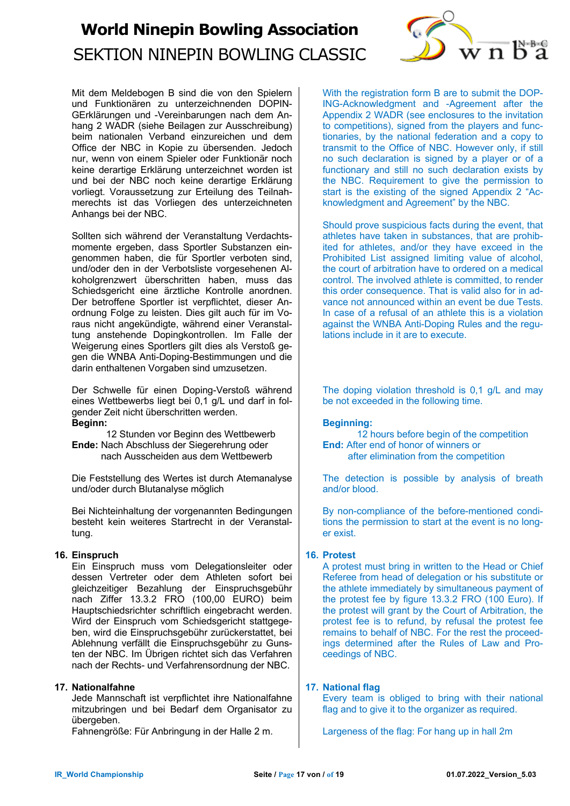

Mit dem Meldebogen B sind die von den Spielern und Funktionären zu unterzeichnenden DOPIN-GErklärungen und -Vereinbarungen nach dem Anhang 2 WADR (siehe Beilagen zur Ausschreibung) beim nationalen Verband einzureichen und dem Office der NBC in Kopie zu übersenden. Jedoch nur, wenn von einem Spieler oder Funktionär noch keine derartige Erklärung unterzeichnet worden ist und bei der NBC noch keine derartige Erklärung vorliegt. Voraussetzung zur Erteilung des Teilnahmerechts ist das Vorliegen des unterzeichneten Anhangs bei der NBC.

Sollten sich während der Veranstaltung Verdachtsmomente ergeben, dass Sportler Substanzen eingenommen haben, die für Sportler verboten sind, und/oder den in der Verbotsliste vorgesehenen Alkoholgrenzwert überschritten haben, muss das Schiedsgericht eine ärztliche Kontrolle anordnen. Der betroffene Sportler ist verpflichtet, dieser Anordnung Folge zu leisten. Dies gilt auch für im Voraus nicht angekündigte, während einer Veranstaltung anstehende Dopingkontrollen. Im Falle der Weigerung eines Sportlers gilt dies als Verstoß gegen die WNBA Anti-Doping-Bestimmungen und die darin enthaltenen Vorgaben sind umzusetzen.

Der Schwelle für einen Doping-Verstoß während eines Wettbewerbs liegt bei 0,1 g/L und darf in folgender Zeit nicht überschritten werden. **Beginn:** 

12 Stunden vor Beginn des Wettbewerb **Ende:** Nach Abschluss der Siegerehrung oder nach Ausscheiden aus dem Wettbewerb

Die Feststellung des Wertes ist durch Atemanalyse und/oder durch Blutanalyse möglich

Bei Nichteinhaltung der vorgenannten Bedingungen besteht kein weiteres Startrecht in der Veranstaltung.

### **16. Einspruch**

Ein Einspruch muss vom Delegationsleiter oder dessen Vertreter oder dem Athleten sofort bei gleichzeitiger Bezahlung der Einspruchsgebühr nach Ziffer 13.3.2 FRO (100,00 EURO) beim Hauptschiedsrichter schriftlich eingebracht werden. Wird der Einspruch vom Schiedsgericht stattgegeben, wird die Einspruchsgebühr zurückerstattet, bei Ablehnung verfällt die Einspruchsgebühr zu Gunsten der NBC. Im Übrigen richtet sich das Verfahren nach der Rechts- und Verfahrensordnung der NBC.

### **17. Nationalfahne**

Jede Mannschaft ist verpflichtet ihre Nationalfahne mitzubringen und bei Bedarf dem Organisator zu übergeben.

Fahnengröße: Für Anbringung in der Halle 2 m.

With the registration form B are to submit the DOP-ING-Acknowledgment and -Agreement after the Appendix 2 WADR (see enclosures to the invitation to competitions), signed from the players and functionaries, by the national federation and a copy to transmit to the Office of NBC. However only, if still no such declaration is signed by a player or of a functionary and still no such declaration exists by the NBC. Requirement to give the permission to start is the existing of the signed Appendix 2 "Acknowledgment and Agreement" by the NBC.

Should prove suspicious facts during the event, that athletes have taken in substances, that are prohibited for athletes, and/or they have exceed in the Prohibited List assigned limiting value of alcohol. the court of arbitration have to ordered on a medical control. The involved athlete is committed, to render this order consequence. That is valid also for in advance not announced within an event be due Tests. In case of a refusal of an athlete this is a violation against the WNBA Anti-Doping Rules and the regulations include in it are to execute.

The doping violation threshold is 0,1 g/L and may be not exceeded in the following time.

#### **Beginning:**

12 hours before begin of the competition **End:** After end of honor of winners or after elimination from the competition

The detection is possible by analysis of breath and/or blood.

By non-compliance of the before-mentioned conditions the permission to start at the event is no longer exist.

#### **16. Protest**

A protest must bring in written to the Head or Chief Referee from head of delegation or his substitute or the athlete immediately by simultaneous payment of the protest fee by figure 13.3.2 FRO (100 Euro). If the protest will grant by the Court of Arbitration, the protest fee is to refund, by refusal the protest fee remains to behalf of NBC. For the rest the proceedings determined after the Rules of Law and Proceedings of NBC.

### **17. National flag**

Every team is obliged to bring with their national flag and to give it to the organizer as required.

Largeness of the flag: For hang up in hall 2m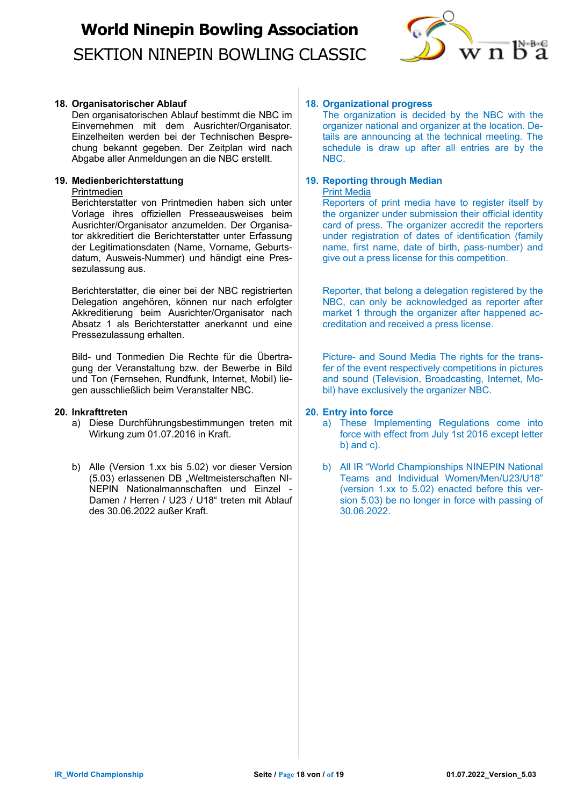

### **18. Organisatorischer Ablauf**

Den organisatorischen Ablauf bestimmt die NBC im Einvernehmen mit dem Ausrichter/Organisator. Einzelheiten werden bei der Technischen Besprechung bekannt gegeben. Der Zeitplan wird nach Abgabe aller Anmeldungen an die NBC erstellt.

### **19. Medienberichterstattung**

Printmedien

Berichterstatter von Printmedien haben sich unter Vorlage ihres offiziellen Presseausweises beim Ausrichter/Organisator anzumelden. Der Organisator akkreditiert die Berichterstatter unter Erfassung der Legitimationsdaten (Name, Vorname, Geburtsdatum, Ausweis-Nummer) und händigt eine Pressezulassung aus.

Berichterstatter, die einer bei der NBC registrierten Delegation angehören, können nur nach erfolgter Akkreditierung beim Ausrichter/Organisator nach Absatz 1 als Berichterstatter anerkannt und eine Pressezulassung erhalten.

Bild- und Tonmedien Die Rechte für die Übertragung der Veranstaltung bzw. der Bewerbe in Bild und Ton (Fernsehen, Rundfunk, Internet, Mobil) liegen ausschließlich beim Veranstalter NBC.

#### **20. Inkrafttreten**

- a) Diese Durchführungsbestimmungen treten mit Wirkung zum 01.07.2016 in Kraft.
- b) Alle (Version 1.xx bis 5.02) vor dieser Version (5.03) erlassenen DB "Weltmeisterschaften NI-NEPIN Nationalmannschaften und Einzel - Damen / Herren / U23 / U18" treten mit Ablauf des 30.06.2022 außer Kraft.

### **18. Organizational progress**

The organization is decided by the NBC with the organizer national and organizer at the location. Details are announcing at the technical meeting. The schedule is draw up after all entries are by the NBC.

#### **19. Reporting through Median**  Print Media

Reporters of print media have to register itself by the organizer under submission their official identity card of press. The organizer accredit the reporters under registration of dates of identification (family name, first name, date of birth, pass-number) and give out a press license for this competition.

Reporter, that belong a delegation registered by the NBC, can only be acknowledged as reporter after market 1 through the organizer after happened accreditation and received a press license.

Picture- and Sound Media The rights for the transfer of the event respectively competitions in pictures and sound (Television, Broadcasting, Internet, Mobil) have exclusively the organizer NBC.

### **20. Entry into force**

- a) These Implementing Regulations come into force with effect from July 1st 2016 except letter b) and c).
- b) All IR "World Championships NINEPIN National Teams and Individual Women/Men/U23/U18" (version 1.xx to 5.02) enacted before this version 5.03) be no longer in force with passing of 30.06.2022.